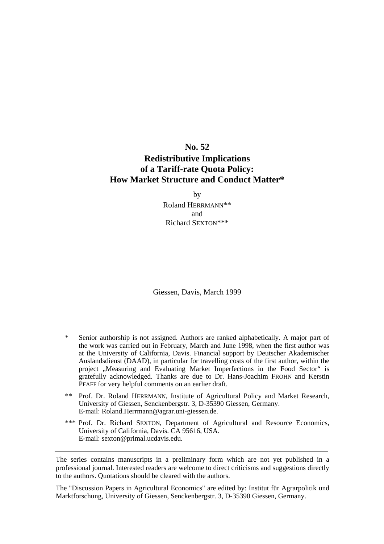## **No. 52 Redistributive Implications of a Tariff-rate Quota Policy: How Market Structure and Conduct Matter\***

by Roland HERRMANN\*\* and Richard SEXTON\*\*\*

Giessen, Davis, March 1999

- Senior authorship is not assigned. Authors are ranked alphabetically. A major part of the work was carried out in February, March and June 1998, when the first author was at the University of California, Davis. Financial support by Deutscher Akademischer Auslandsdienst (DAAD), in particular for travelling costs of the first author, within the project "Measuring and Evaluating Market Imperfections in the Food Sector" is gratefully acknowledged. Thanks are due to Dr. Hans-Joachim FROHN and Kerstin PFAFF for very helpful comments on an earlier draft.
- \*\* Prof. Dr. Roland HERRMANN, Institute of Agricultural Policy and Market Research, University of Giessen, Senckenbergstr. 3, D-35390 Giessen, Germany. E-mail: Roland.Herrmann@agrar.uni-giessen.de.
- \*\*\* Prof. Dr. Richard SEXTON, Department of Agricultural and Resource Economics, University of California, Davis. CA 95616, USA. E-mail: sexton@primal.ucdavis.edu.

The series contains manuscripts in a preliminary form which are not yet published in a professional journal. Interested readers are welcome to direct criticisms and suggestions directly to the authors. Quotations should be cleared with the authors.

The "Discussion Papers in Agricultural Economics" are edited by: Institut für Agrarpolitik und Marktforschung, University of Giessen, Senckenbergstr. 3, D-35390 Giessen, Germany.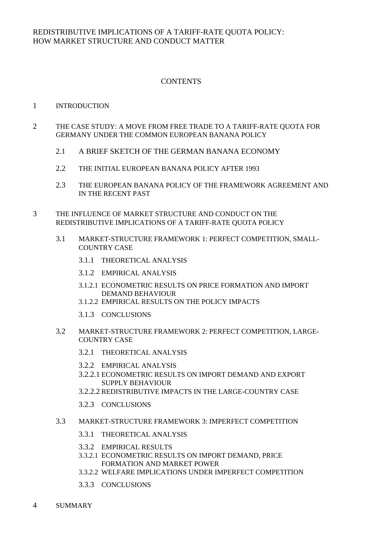#### **CONTENTS**

#### 1 INTRODUCTION

- 2 THE CASE STUDY: A MOVE FROM FREE TRADE TO A TARIFF-RATE QUOTA FOR GERMANY UNDER THE COMMON EUROPEAN BANANA POLICY
	- 2.1 A BRIEF SKETCH OF THE GERMAN BANANA ECONOMY
	- 2.2 THE INITIAL EUROPEAN BANANA POLICY AFTER 1993
	- 2.3 THE EUROPEAN BANANA POLICY OF THE FRAMEWORK AGREEMENT AND IN THE RECENT PAST
- 3 THE INFLUENCE OF MARKET STRUCTURE AND CONDUCT ON THE REDISTRIBUTIVE IMPLICATIONS OF A TARIFF-RATE QUOTA POLICY
	- 3.1 MARKET-STRUCTURE FRAMEWORK 1: PERFECT COMPETITION, SMALL- COUNTRY CASE
		- 3.1.1 THEORETICAL ANALYSIS
		- 3.1.2 EMPIRICAL ANALYSIS
		- 3.1.2.1 ECONOMETRIC RESULTS ON PRICE FORMATION AND IMPORT DEMAND BEHAVIOUR
		- 3.1.2.2 EMPIRICAL RESULTS ON THE POLICY IMPACTS
		- 3.1.3 CONCLUSIONS
	- 3.2 MARKET-STRUCTURE FRAMEWORK 2: PERFECT COMPETITION, LARGE- COUNTRY CASE
		- 3.2.1 THEORETICAL ANALYSIS
		- 3.2.2 EMPIRICAL ANALYSIS
		- 3.2.2.1 ECONOMETRIC RESULTS ON IMPORT DEMAND AND EXPORT SUPPLY BEHAVIOUR
		- 3.2.2.2 REDISTRIBUTIVE IMPACTS IN THE LARGE-COUNTRY CASE
		- 3.2.3 CONCLUSIONS
	- 3.3 MARKET-STRUCTURE FRAMEWORK 3: IMPERFECT COMPETITION
		- 3.3.1 THEORETICAL ANALYSIS
		- 3.3.2 EMPIRICAL RESULTS
		- 3.3.2.1 ECONOMETRIC RESULTS ON IMPORT DEMAND, PRICE FORMATION AND MARKET POWER
		- 3.3.2.2 WELFARE IMPLICATIONS UNDER IMPERFECT COMPETITION
		- 3.3.3 CONCLUSIONS
- 4 SUMMARY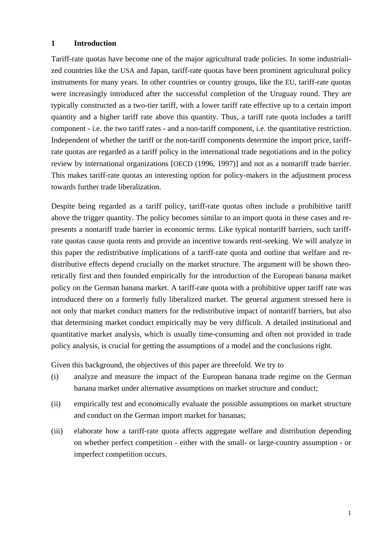#### **1 Introduction**

Tariff-rate quotas have become one of the major agricultural trade policies. In some industrialized countries like the USA and Japan, tariff-rate quotas have been prominent agricultural policy instruments for many years. In other countries or country groups, like the EU, tariff-rate quotas were increasingly introduced after the successful completion of the Uruguay round. They are typically constructed as a two-tier tariff, with a lower tariff rate effective up to a certain import quantity and a higher tariff rate above this quantity. Thus, a tariff rate quota includes a tariff component - i.e. the two tariff rates - and a non-tariff component, i.e. the quantitative restriction. Independent of whether the tariff or the non-tariff components determine the import price, tariffrate quotas are regarded as a tariff policy in the international trade negotiations and in the policy review by international organizations [OECD (1996, 1997)] and not as a nontariff trade barrier. This makes tariff-rate quotas an interesting option for policy-makers in the adjustment process towards further trade liberalization.

Despite being regarded as a tariff policy, tariff-rate quotas often include a prohibitive tariff above the trigger quantity. The policy becomes similar to an import quota in these cases and represents a nontariff trade barrier in economic terms. Like typical nontariff barriers, such tariffrate quotas cause quota rents and provide an incentive towards rent-seeking. We will analyze in this paper the redistributive implications of a tariff-rate quota and outline that welfare and redistributive effects depend crucially on the market structure. The argument will be shown theoretically first and then founded empirically for the introduction of the European banana market policy on the German banana market. A tariff-rate quota with a prohibitive upper tariff rate was introduced there on a formerly fully liberalized market. The general argument stressed here is not only that market conduct matters for the redistributive impact of nontariff barriers, but also that determining market conduct empirically may be very difficult. A detailed institutional and quantitative market analysis, which is usually time-consuming and often not provided in trade policy analysis, is crucial for getting the assumptions of a model and the conclusions right.

Given this background, the objectives of this paper are threefold. We try to

- (i) analyze and measure the impact of the European banana trade regime on the German banana market under alternative assumptions on market structure and conduct;
- (ii) empirically test and economically evaluate the possible assumptions on market structure and conduct on the German import market for bananas;
- (iii) elaborate how a tariff-rate quota affects aggregate welfare and distribution depending on whether perfect competition - either with the small- or large-country assumption - or imperfect competition occurs.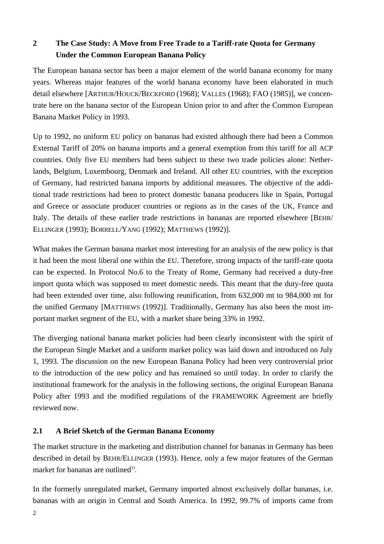## **2 The Case Study: A Move from Free Trade to a Tariff-rate Quota for Germany Under the Common European Banana Policy**

The European banana sector has been a major element of the world banana economy for many years. Whereas major features of the world banana economy have been elaborated in much detail elsewhere [ARTHUR/HOUCK/BECKFORD (1968); VALLES (1968); FAO (1985)], we concentrate here on the banana sector of the European Union prior to and after the Common European Banana Market Policy in 1993.

Up to 1992, no uniform EU policy on bananas had existed although there had been a Common External Tariff of 20% on banana imports and a general exemption from this tariff for all ACP countries. Only five EU members had been subject to these two trade policies alone: Netherlands, Belgium, Luxembourg, Denmark and Ireland. All other EU countries, with the exception of Germany, had restricted banana imports by additional measures. The objective of the additional trade restrictions had been to protect domestic banana producers like in Spain, Portugal and Greece or associate producer countries or regions as in the cases of the UK, France and Italy. The details of these earlier trade restrictions in bananas are reported elsewhere [BEHR/ ELLINGER (1993); BORRELL/YANG (1992); MATTHEWS (1992)].

What makes the German banana market most interesting for an analysis of the new policy is that it had been the most liberal one within the EU. Therefore, strong impacts of the tariff-rate quota can be expected. In Protocol No.6 to the Treaty of Rome, Germany had received a duty-free import quota which was supposed to meet domestic needs. This meant that the duty-free quota had been extended over time, also following reunification, from 632,000 mt to 984,000 mt for the unified Germany [MATTHEWS (1992)]. Traditionally, Germany has also been the most important market segment of the EU, with a market share being 33% in 1992.

The diverging national banana market policies had been clearly inconsistent with the spirit of the European Single Market and a uniform market policy was laid down and introduced on July 1, 1993. The discussion on the new European Banana Policy had been very controversial prior to the introduction of the new policy and has remained so until today. In order to clarify the institutional framework for the analysis in the following sections, the original European Banana Policy after 1993 and the modified regulations of the FRAMEWORK Agreement are briefly reviewed now.

### **2.1 A Brief Sketch of the German Banana Economy**

The market structure in the marketing and distribution channel for bananas in Germany has been described in detail by BEHR/ELLINGER (1993). Hence, only a few major features of the German market for bananas are outlined<sup>1)</sup>.

In the formerly unregulated market, Germany imported almost exclusively dollar bananas, i.e. bananas with an origin in Central and South America. In 1992, 99.7% of imports came from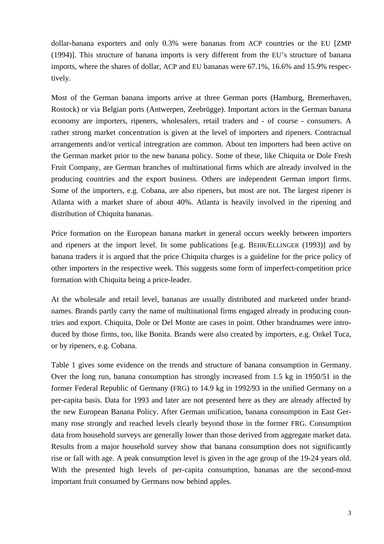dollar-banana exporters and only 0.3% were bananas from ACP countries or the EU [ZMP (1994)]. This structure of banana imports is very different from the EU's structure of banana imports, where the shares of dollar, ACP and EU bananas were 67.1%, 16.6% and 15.9% respectively.

Most of the German banana imports arrive at three German ports (Hamburg, Bremerhaven, Rostock) or via Belgian ports (Antwerpen, Zeebrügge). Important actors in the German banana economy are importers, ripeners, wholesalers, retail traders and - of course - consumers. A rather strong market concentration is given at the level of importers and ripeners. Contractual arrangements and/or vertical intregration are common. About ten importers had been active on the German market prior to the new banana policy. Some of these, like Chiquita or Dole Fresh Fruit Company, are German branches of multinational firms which are already involved in the producing countries and the export business. Others are independent German import firms. Some of the importers, e.g. Cobana, are also ripeners, but most are not. The largest ripener is Atlanta with a market share of about 40%. Atlanta is heavily involved in the ripening and distribution of Chiquita bananas.

Price formation on the European banana market in general occurs weekly between importers and ripeners at the import level. In some publications [e.g. BEHR/ELLINGER (1993)] and by banana traders it is argued that the price Chiquita charges is a guideline for the price policy of other importers in the respective week. This suggests some form of imperfect-competition price formation with Chiquita being a price-leader.

At the wholesale and retail level, bananas are usually distributed and marketed under brandnames. Brands partly carry the name of multinational firms engaged already in producing countries and export. Chiquita, Dole or Del Monte are cases in point. Other brandnames were introduced by those firms, too, like Bonita. Brands were also created by importers, e.g. Onkel Tuca, or by ripeners, e.g. Cobana.

Table 1 gives some evidence on the trends and structure of banana consumption in Germany. Over the long run, banana consumption has strongly increased from 1.5 kg in 1950/51 in the former Federal Republic of Germany (FRG) to 14.9 kg in 1992/93 in the unified Germany on a per-capita basis. Data for 1993 and later are not presented here as they are already affected by the new European Banana Policy. After German unification, banana consumption in East Germany rose strongly and reached levels clearly beyond those in the former FRG. Consumption data from household surveys are generally lower than those derived from aggregate market data. Results from a major household survey show that banana consumption does not significantly rise or fall with age. A peak consumption level is given in the age group of the 19-24 years old. With the presented high levels of per-capita consumption, bananas are the second-most important fruit consumed by Germans now behind apples.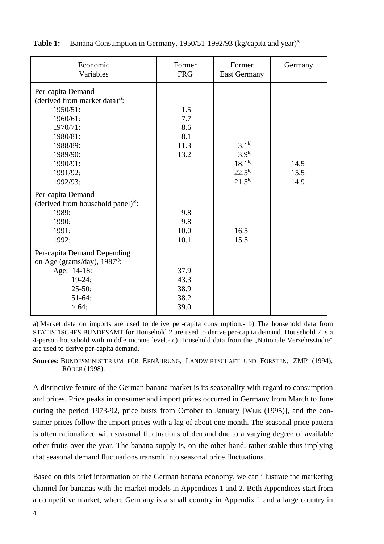| Economic<br>Variables                                                                                                                                           | Former<br><b>FRG</b>                     | Former<br><b>East Germany</b>                       | Germany      |
|-----------------------------------------------------------------------------------------------------------------------------------------------------------------|------------------------------------------|-----------------------------------------------------|--------------|
| Per-capita Demand<br>(derived from market data) <sup>a)</sup> :<br>1950/51:<br>1960/61:<br>1970/71:<br>1980/81:<br>1988/89:<br>1989/90:<br>1990/91:<br>1991/92: | 1.5<br>7.7<br>8.6<br>8.1<br>11.3<br>13.2 | $3.1^{b}$<br>$3.9^{b)}$<br>$18.1^{b}$<br>$22.5^{b}$ | 14.5<br>15.5 |
| 1992/93:<br>Per-capita Demand<br>(derived from household panel) <sup>b)</sup> :<br>1989:<br>1990:<br>1991:<br>1992:                                             | 9.8<br>9.8<br>10.0<br>10.1               | $21.5^{b}$<br>16.5<br>15.5                          | 14.9         |
| Per-capita Demand Depending<br>on Age (grams/day), $1987^{\circ}$ :<br>Age: 14-18:<br>$19-24:$<br>$25 - 50$ :<br>$51-64:$<br>$> 64$ :                           | 37.9<br>43.3<br>38.9<br>38.2<br>39.0     |                                                     |              |

**Table 1:** Banana Consumption in Germany, 1950/51-1992/93 (kg/capita and year)<sup>a)</sup>

a) Market data on imports are used to derive per-capita consumption.- b) The household data from STATISTISCHES BUNDESAMT for Household 2 are used to derive per-capita demand. Household 2 is a 4-person household with middle income level.- c) Household data from the "Nationale Verzehrsstudie" are used to derive per-capita demand.

**Sources:** BUNDESMINISTERIUM FÜR ERNÄHRUNG, LANDWIRTSCHAFT UND FORSTEN; ZMP (1994); RÖDER (1998).

A distinctive feature of the German banana market is its seasonality with regard to consumption and prices. Price peaks in consumer and import prices occurred in Germany from March to June during the period 1973-92, price busts from October to January [WEIß (1995)], and the consumer prices follow the import prices with a lag of about one month. The seasonal price pattern is often rationalized with seasonal fluctuations of demand due to a varying degree of available other fruits over the year. The banana supply is, on the other hand, rather stable thus implying that seasonal demand fluctuations transmit into seasonal price fluctuations.

Based on this brief information on the German banana economy, we can illustrate the marketing channel for bananas with the market models in Appendices 1 and 2. Both Appendices start from a competitive market, where Germany is a small country in Appendix 1 and a large country in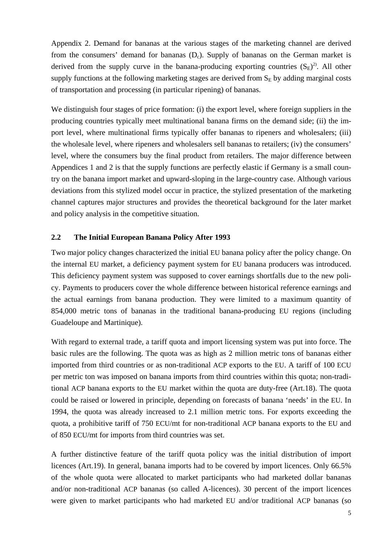Appendix 2. Demand for bananas at the various stages of the marketing channel are derived from the consumers' demand for bananas  $(D<sub>c</sub>)$ . Supply of bananas on the German market is derived from the supply curve in the banana-producing exporting countries  $(S_E)^2$ . All other supply functions at the following marketing stages are derived from  $S<sub>E</sub>$  by adding marginal costs of transportation and processing (in particular ripening) of bananas.

We distinguish four stages of price formation: (i) the export level, where foreign suppliers in the producing countries typically meet multinational banana firms on the demand side; (ii) the import level, where multinational firms typically offer bananas to ripeners and wholesalers; (iii) the wholesale level, where ripeners and wholesalers sell bananas to retailers; (iv) the consumers' level, where the consumers buy the final product from retailers. The major difference between Appendices 1 and 2 is that the supply functions are perfectly elastic if Germany is a small country on the banana import market and upward-sloping in the large-country case. Although various deviations from this stylized model occur in practice, the stylized presentation of the marketing channel captures major structures and provides the theoretical background for the later market and policy analysis in the competitive situation.

#### **2.2 The Initial European Banana Policy After 1993**

Two major policy changes characterized the initial EU banana policy after the policy change. On the internal EU market, a deficiency payment system for EU banana producers was introduced. This deficiency payment system was supposed to cover earnings shortfalls due to the new policy. Payments to producers cover the whole difference between historical reference earnings and the actual earnings from banana production. They were limited to a maximum quantity of 854,000 metric tons of bananas in the traditional banana-producing EU regions (including Guadeloupe and Martinique).

With regard to external trade, a tariff quota and import licensing system was put into force. The basic rules are the following. The quota was as high as 2 million metric tons of bananas either imported from third countries or as non-traditional ACP exports to the EU. A tariff of 100 ECU per metric ton was imposed on banana imports from third countries within this quota; non-traditional ACP banana exports to the EU market within the quota are duty-free (Art.18). The quota could be raised or lowered in principle, depending on forecasts of banana 'needs' in the EU. In 1994, the quota was already increased to 2.1 million metric tons. For exports exceeding the quota, a prohibitive tariff of 750 ECU/mt for non-traditional ACP banana exports to the EU and of 850 ECU/mt for imports from third countries was set.

A further distinctive feature of the tariff quota policy was the initial distribution of import licences (Art.19). In general, banana imports had to be covered by import licences. Only 66.5% of the whole quota were allocated to market participants who had marketed dollar bananas and/or non-traditional ACP bananas (so called A-licences). 30 percent of the import licences were given to market participants who had marketed EU and/or traditional ACP bananas (so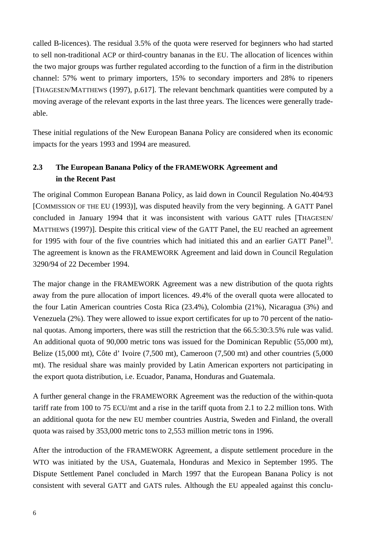called B-licences). The residual 3.5% of the quota were reserved for beginners who had started to sell non-traditional ACP or third-country bananas in the EU. The allocation of licences within the two major groups was further regulated according to the function of a firm in the distribution channel: 57% went to primary importers, 15% to secondary importers and 28% to ripeners [THAGESEN/MATTHEWS (1997), p.617]. The relevant benchmark quantities were computed by a moving average of the relevant exports in the last three years. The licences were generally tradeable.

These initial regulations of the New European Banana Policy are considered when its economic impacts for the years 1993 and 1994 are measured.

## **2.3 The European Banana Policy of the FRAMEWORK Agreement and in the Recent Past**

The original Common European Banana Policy, as laid down in Council Regulation No.404/93 [COMMISSION OF THE EU (1993)], was disputed heavily from the very beginning. A GATT Panel concluded in January 1994 that it was inconsistent with various GATT rules [THAGESEN/ MATTHEWS (1997)]. Despite this critical view of the GATT Panel, the EU reached an agreement for 1995 with four of the five countries which had initiated this and an earlier GATT Panel<sup>3)</sup>. The agreement is known as the FRAMEWORK Agreement and laid down in Council Regulation 3290/94 of 22 December 1994.

The major change in the FRAMEWORK Agreement was a new distribution of the quota rights away from the pure allocation of import licences. 49.4% of the overall quota were allocated to the four Latin American countries Costa Rica (23.4%), Colombia (21%), Nicaragua (3%) and Venezuela (2%). They were allowed to issue export certificates for up to 70 percent of the national quotas. Among importers, there was still the restriction that the 66.5:30:3.5% rule was valid. An additional quota of 90,000 metric tons was issued for the Dominican Republic (55,000 mt), Belize (15,000 mt), Côte d' Ivoire (7,500 mt), Cameroon (7,500 mt) and other countries (5,000 mt). The residual share was mainly provided by Latin American exporters not participating in the export quota distribution, i.e. Ecuador, Panama, Honduras and Guatemala.

A further general change in the FRAMEWORK Agreement was the reduction of the within-quota tariff rate from 100 to 75 ECU/mt and a rise in the tariff quota from 2.1 to 2.2 million tons. With an additional quota for the new EU member countries Austria, Sweden and Finland, the overall quota was raised by 353,000 metric tons to 2,553 million metric tons in 1996.

After the introduction of the FRAMEWORK Agreement, a dispute settlement procedure in the WTO was initiated by the USA, Guatemala, Honduras and Mexico in September 1995. The Dispute Settlement Panel concluded in March 1997 that the European Banana Policy is not consistent with several GATT and GATS rules. Although the EU appealed against this conclu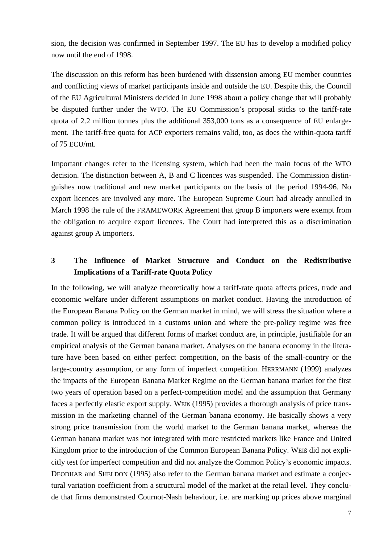sion, the decision was confirmed in September 1997. The EU has to develop a modified policy now until the end of 1998.

The discussion on this reform has been burdened with dissension among EU member countries and conflicting views of market participants inside and outside the EU. Despite this, the Council of the EU Agricultural Ministers decided in June 1998 about a policy change that will probably be disputed further under the WTO. The EU Commission's proposal sticks to the tariff-rate quota of 2.2 million tonnes plus the additional 353,000 tons as a consequence of EU enlargement. The tariff-free quota for ACP exporters remains valid, too, as does the within-quota tariff of 75 ECU/mt.

Important changes refer to the licensing system, which had been the main focus of the WTO decision. The distinction between A, B and C licences was suspended. The Commission distinguishes now traditional and new market participants on the basis of the period 1994-96. No export licences are involved any more. The European Supreme Court had already annulled in March 1998 the rule of the FRAMEWORK Agreement that group B importers were exempt from the obligation to acquire export licences. The Court had interpreted this as a discrimination against group A importers.

## **3 The Influence of Market Structure and Conduct on the Redistributive Implications of a Tariff-rate Quota Policy**

In the following, we will analyze theoretically how a tariff-rate quota affects prices, trade and economic welfare under different assumptions on market conduct. Having the introduction of the European Banana Policy on the German market in mind, we will stress the situation where a common policy is introduced in a customs union and where the pre-policy regime was free trade. It will be argued that different forms of market conduct are, in principle, justifiable for an empirical analysis of the German banana market. Analyses on the banana economy in the literature have been based on either perfect competition, on the basis of the small-country or the large-country assumption, or any form of imperfect competition. HERRMANN (1999) analyzes the impacts of the European Banana Market Regime on the German banana market for the first two years of operation based on a perfect-competition model and the assumption that Germany faces a perfectly elastic export supply. WEIß (1995) provides a thorough analysis of price transmission in the marketing channel of the German banana economy. He basically shows a very strong price transmission from the world market to the German banana market, whereas the German banana market was not integrated with more restricted markets like France and United Kingdom prior to the introduction of the Common European Banana Policy. WEIß did not explicitly test for imperfect competition and did not analyze the Common Policy's economic impacts. DEODHAR and SHELDON (1995) also refer to the German banana market and estimate a conjectural variation coefficient from a structural model of the market at the retail level. They conclude that firms demonstrated Cournot-Nash behaviour, i.e. are marking up prices above marginal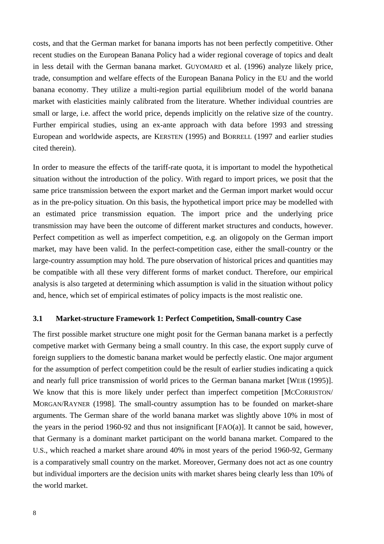costs, and that the German market for banana imports has not been perfectly competitive. Other recent studies on the European Banana Policy had a wider regional coverage of topics and dealt in less detail with the German banana market. GUYOMARD et al. (1996) analyze likely price, trade, consumption and welfare effects of the European Banana Policy in the EU and the world banana economy. They utilize a multi-region partial equilibrium model of the world banana market with elasticities mainly calibrated from the literature. Whether individual countries are small or large, i.e. affect the world price, depends implicitly on the relative size of the country. Further empirical studies, using an ex-ante approach with data before 1993 and stressing European and worldwide aspects, are KERSTEN (1995) and BORRELL (1997 and earlier studies cited therein).

In order to measure the effects of the tariff-rate quota, it is important to model the hypothetical situation without the introduction of the policy. With regard to import prices, we posit that the same price transmission between the export market and the German import market would occur as in the pre-policy situation. On this basis, the hypothetical import price may be modelled with an estimated price transmission equation. The import price and the underlying price transmission may have been the outcome of different market structures and conducts, however. Perfect competition as well as imperfect competition, e.g. an oligopoly on the German import market, may have been valid. In the perfect-competition case, either the small-country or the large-country assumption may hold. The pure observation of historical prices and quantities may be compatible with all these very different forms of market conduct. Therefore, our empirical analysis is also targeted at determining which assumption is valid in the situation without policy and, hence, which set of empirical estimates of policy impacts is the most realistic one.

#### **3.1 Market-structure Framework 1: Perfect Competition, Small-country Case**

The first possible market structure one might posit for the German banana market is a perfectly competive market with Germany being a small country. In this case, the export supply curve of foreign suppliers to the domestic banana market would be perfectly elastic. One major argument for the assumption of perfect competition could be the result of earlier studies indicating a quick and nearly full price transmission of world prices to the German banana market [WEIß (1995)]. We know that this is more likely under perfect than imperfect competition [MCCORRISTON/ MORGAN/RAYNER (1998]. The small-country assumption has to be founded on market-share arguments. The German share of the world banana market was slightly above 10% in most of the years in the period 1960-92 and thus not insignificant [FAO(a)]. It cannot be said, however, that Germany is a dominant market participant on the world banana market. Compared to the U.S., which reached a market share around 40% in most years of the period 1960-92, Germany is a comparatively small country on the market. Moreover, Germany does not act as one country but individual importers are the decision units with market shares being clearly less than 10% of the world market.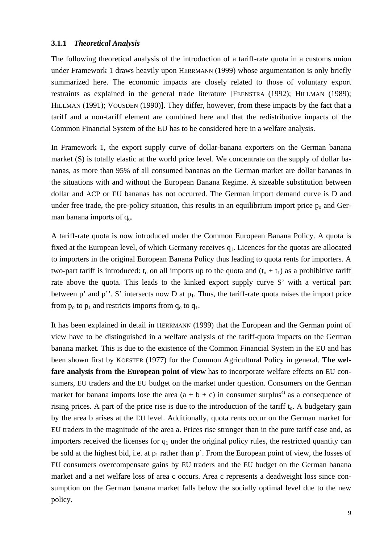#### **3.1.1** *Theoretical Analysis*

The following theoretical analysis of the introduction of a tariff-rate quota in a customs union under Framework 1 draws heavily upon HERRMANN (1999) whose argumentation is only briefly summarized here. The economic impacts are closely related to those of voluntary export restraints as explained in the general trade literature [FEENSTRA (1992); HILLMAN (1989); HILLMAN (1991); VOUSDEN (1990)]. They differ, however, from these impacts by the fact that a tariff and a non-tariff element are combined here and that the redistributive impacts of the Common Financial System of the EU has to be considered here in a welfare analysis.

In Framework 1, the export supply curve of dollar-banana exporters on the German banana market (S) is totally elastic at the world price level. We concentrate on the supply of dollar bananas, as more than 95% of all consumed bananas on the German market are dollar bananas in the situations with and without the European Banana Regime. A sizeable substitution between dollar and ACP or EU bananas has not occurred. The German import demand curve is D and under free trade, the pre-policy situation, this results in an equilibrium import price  $p<sub>o</sub>$  and German banana imports of  $q_0$ .

A tariff-rate quota is now introduced under the Common European Banana Policy. A quota is fixed at the European level, of which Germany receives  $q_1$ . Licences for the quotas are allocated to importers in the original European Banana Policy thus leading to quota rents for importers. A two-part tariff is introduced:  $t_0$  on all imports up to the quota and  $(t_0 + t_1)$  as a prohibitive tariff rate above the quota. This leads to the kinked export supply curve S' with a vertical part between p' and p''. S' intersects now D at  $p_1$ . Thus, the tariff-rate quota raises the import price from  $p_0$  to  $p_1$  and restricts imports from  $q_0$  to  $q_1$ .

It has been explained in detail in HERRMANN (1999) that the European and the German point of view have to be distinguished in a welfare analysis of the tariff-quota impacts on the German banana market. This is due to the existence of the Common Financial System in the EU and has been shown first by KOESTER (1977) for the Common Agricultural Policy in general. **The welfare analysis from the European point of view** has to incorporate welfare effects on EU consumers, EU traders and the EU budget on the market under question. Consumers on the German market for banana imports lose the area  $(a + b + c)$  in consumer surplus<sup>4)</sup> as a consequence of rising prices. A part of the price rise is due to the introduction of the tariff  $t<sub>o</sub>$ . A budgetary gain by the area b arises at the EU level. Additionally, quota rents occur on the German market for EU traders in the magnitude of the area a. Prices rise stronger than in the pure tariff case and, as importers received the licenses for  $q_1$  under the original policy rules, the restricted quantity can be sold at the highest bid, i.e. at  $p_1$  rather than p'. From the European point of view, the losses of EU consumers overcompensate gains by EU traders and the EU budget on the German banana market and a net welfare loss of area c occurs. Area c represents a deadweight loss since consumption on the German banana market falls below the socially optimal level due to the new policy.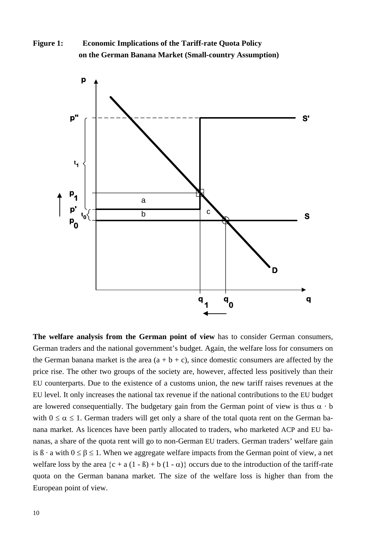**Figure 1: Economic Implications of the Tariff-rate Quota Policy on the German Banana Market (Small-country Assumption)**



**The welfare analysis from the German point of view** has to consider German consumers, German traders and the national government's budget. Again, the welfare loss for consumers on the German banana market is the area  $(a + b + c)$ , since domestic consumers are affected by the price rise. The other two groups of the society are, however, affected less positively than their EU counterparts. Due to the existence of a customs union, the new tariff raises revenues at the EU level. It only increases the national tax revenue if the national contributions to the EU budget are lowered consequentially. The budgetary gain from the German point of view is thus  $\alpha \cdot b$ with  $0 \le \alpha \le 1$ . German traders will get only a share of the total quota rent on the German banana market. As licences have been partly allocated to traders, who marketed ACP and EU bananas, a share of the quota rent will go to non-German EU traders. German traders' welfare gain is  $\beta \cdot a$  with  $0 \le \beta \le 1$ . When we aggregate welfare impacts from the German point of view, a net welfare loss by the area  $\{c + a(1 - \beta) + b(1 - \alpha)\}\)$  occurs due to the introduction of the tariff-rate quota on the German banana market. The size of the welfare loss is higher than from the European point of view.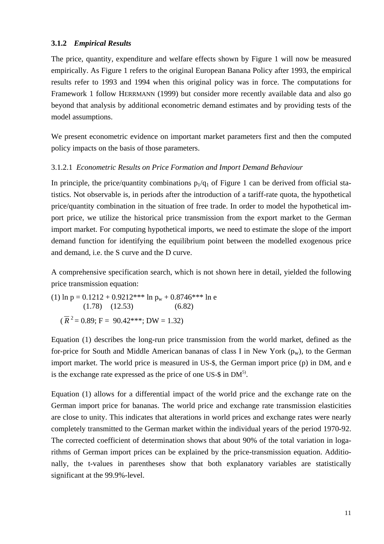#### **3.1.2** *Empirical Results*

The price, quantity, expenditure and welfare effects shown by Figure 1 will now be measured empirically. As Figure 1 refers to the original European Banana Policy after 1993, the empirical results refer to 1993 and 1994 when this original policy was in force. The computations for Framework 1 follow HERRMANN (1999) but consider more recently available data and also go beyond that analysis by additional econometric demand estimates and by providing tests of the model assumptions.

We present econometric evidence on important market parameters first and then the computed policy impacts on the basis of those parameters.

#### 3.1.2.1 *Econometric Results on Price Formation and Import Demand Behaviour*

In principle, the price/quantity combinations  $p_1/q_1$  of Figure 1 can be derived from official statistics. Not observable is, in periods after the introduction of a tariff-rate quota, the hypothetical price/quantity combination in the situation of free trade. In order to model the hypothetical import price, we utilize the historical price transmission from the export market to the German import market. For computing hypothetical imports, we need to estimate the slope of the import demand function for identifying the equilibrium point between the modelled exogenous price and demand, i.e. the S curve and the D curve.

A comprehensive specification search, which is not shown here in detail, yielded the following price transmission equation:

(1) ln p = 0.1212 + 0.9212\*\*\* ln p<sub>w</sub> + 0.8746\*\*\* ln e  
(1.78) (12.53) (6.82)  

$$
(\overline{R}^2 = 0.89; F = 90.42***; DW = 1.32)
$$

Equation (1) describes the long-run price transmission from the world market, defined as the for-price for South and Middle American bananas of class I in New York  $(p_w)$ , to the German import market. The world price is measured in US-\$, the German import price (p) in DM, and e is the exchange rate expressed as the price of one US- $\frac{1}{2}$  in DM<sup>5)</sup>.

Equation (1) allows for a differential impact of the world price and the exchange rate on the German import price for bananas. The world price and exchange rate transmission elasticities are close to unity. This indicates that alterations in world prices and exchange rates were nearly completely transmitted to the German market within the individual years of the period 1970-92. The corrected coefficient of determination shows that about 90% of the total variation in logarithms of German import prices can be explained by the price-transmission equation. Additionally, the t-values in parentheses show that both explanatory variables are statistically significant at the 99.9%-level.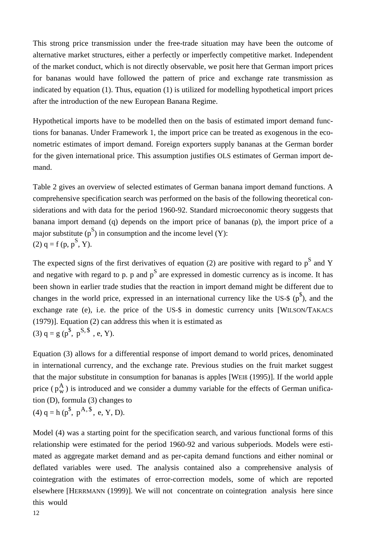This strong price transmission under the free-trade situation may have been the outcome of alternative market structures, either a perfectly or imperfectly competitive market. Independent of the market conduct, which is not directly observable, we posit here that German import prices for bananas would have followed the pattern of price and exchange rate transmission as indicated by equation (1). Thus, equation (1) is utilized for modelling hypothetical import prices after the introduction of the new European Banana Regime.

Hypothetical imports have to be modelled then on the basis of estimated import demand functions for bananas. Under Framework 1, the import price can be treated as exogenous in the econometric estimates of import demand. Foreign exporters supply bananas at the German border for the given international price. This assumption justifies OLS estimates of German import demand.

Table 2 gives an overview of selected estimates of German banana import demand functions. A comprehensive specification search was performed on the basis of the following theoretical considerations and with data for the period 1960-92. Standard microeconomic theory suggests that banana import demand (q) depends on the import price of bananas (p), the import price of a major substitute  $(p^S)$  in consumption and the income level  $(Y)$ : (2)  $q = f(p, p^S, Y)$ .

The expected signs of the first derivatives of equation (2) are positive with regard to  $p^S$  and Y and negative with regard to p. p and  $p<sup>S</sup>$  are expressed in domestic currency as is income. It has been shown in earlier trade studies that the reaction in import demand might be different due to changes in the world price, expressed in an international currency like the US-\$  $(p^{\$})$ , and the exchange rate (e), i.e. the price of the US-\$ in domestic currency units [WILSON/TAKACS (1979)]. Equation (2) can address this when it is estimated as (3)  $q = g(p^s, p^{S, s}, e, Y)$ .

Equation (3) allows for a differential response of import demand to world prices, denominated in international currency, and the exchange rate. Previous studies on the fruit market suggest that the major substitute in consumption for bananas is apples [WEIß (1995)]. If the world apple price  $(p_w^A)$  is introduced and we consider a dummy variable for the effects of German unification (D), formula (3) changes to (4)  $q = h (p^{\$}, p^{A, \$}, e, Y, D)$ .

Model (4) was a starting point for the specification search, and various functional forms of this relationship were estimated for the period 1960-92 and various subperiods. Models were estimated as aggregate market demand and as per-capita demand functions and either nominal or deflated variables were used. The analysis contained also a comprehensive analysis of cointegration with the estimates of error-correction models, some of which are reported elsewhere [HERRMANN (1999)]. We will not concentrate on cointegration analysis here since this would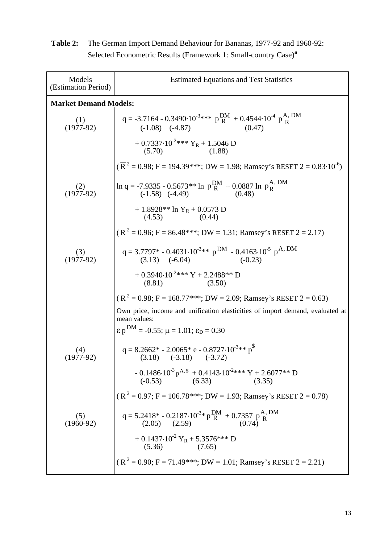| Models<br>(Estimation Period) | <b>Estimated Equations and Test Statistics</b>                                                                                     |  |  |  |
|-------------------------------|------------------------------------------------------------------------------------------------------------------------------------|--|--|--|
| <b>Market Demand Models:</b>  |                                                                                                                                    |  |  |  |
| $(1)$<br>(1977-92)            | $q = -3.7164 - 0.3490 \cdot 10^{-3}$ *** $p\frac{DM}{R} + 0.4544 \cdot 10^{-4} p\frac{A}{R}$ . DM<br>$(-1.08)$ $(-4.87)$<br>(0.47) |  |  |  |
|                               | + $0.7337 \cdot 10^{-2}$ *** $Y_R$ + 1.5046 D<br>(5.70)<br>(1.88)                                                                  |  |  |  |
|                               | $(\overline{R}^2 = 0.98; F = 194.39***; DW = 1.98; Ramsey's REST 2 = 0.83 \cdot 10^{-6})$                                          |  |  |  |
| $(2)$<br>(1977-92)            | $\ln q = -7.9335 - 0.5673** \ln p\frac{DM}{R} + 0.0887 \ln p\frac{A, DM}{R}$<br>(-1.58) (-4.49) (0.48)                             |  |  |  |
|                               | + 1.8928** ln Y <sub>R</sub> + 0.0573 D<br>(4.53)<br>(0.44)                                                                        |  |  |  |
|                               | $(\overline{R}^2 = 0.96; F = 86.48***; DW = 1.31; Ramsey's RESET 2 = 2.17)$                                                        |  |  |  |
| (3)<br>$(1977-92)$            | $q = 3.7797^* - 0.4031 \cdot 10^{-3} *$ p <sup>DM</sup> - 0.4163 $10^{-5}$ p <sup>A, DM</sup><br>$(3.13)$ $(-6.04)$<br>$(-0.23)$   |  |  |  |
|                               | + 0.3940.10 <sup>-2***</sup> Y + 2.2488** D<br>$(8.81)$ $(3.50)$                                                                   |  |  |  |
|                               | $(\overline{R}^2 = 0.98; F = 168.77***; DW = 2.09; Ramsey's RESET 2 = 0.63)$                                                       |  |  |  |
|                               | Own price, income and unification elasticities of import demand, evaluated at<br>mean values:                                      |  |  |  |
|                               | $\epsilon_p^{DM}$ = -0.55; $\mu$ = 1.01; $\epsilon_p$ = 0.30                                                                       |  |  |  |
| (4)<br>$(1977-92)$            | q = 8.2662* - 2.0065* e - 0.8727·10 <sup>-3</sup> ** p <sup>\$</sup><br>(3.18) (-3.18) (-3.72)                                     |  |  |  |
|                               | - 0.1486 $\cdot$ 10 <sup>-3</sup> p <sup>A, \$</sup> + 0.4143 $\cdot$ 10 <sup>-2</sup> *** Y + 2.6077** D<br>(-0.53) (6.33) (3.35) |  |  |  |
|                               | $(\overline{R}^2 = 0.97; F = 106.78***; DW = 1.93; Ramsey's RESET 2 = 0.78)$                                                       |  |  |  |
| (5)<br>$(1960-92)$            | q = 5.2418* - 0.2187 $\cdot$ 10 <sup>-3</sup> * p <sup>DM</sup> + 0.7357 p <sup>A</sup> , DM<br>(2.05) (2.59) (0.74)               |  |  |  |
|                               | + 0.1437·10 <sup>-2</sup> $Y_R$ + 5.3576*** D<br>$(5.36)$ $(7.65)$                                                                 |  |  |  |
|                               | $(\overline{R}^2 = 0.90; F = 71.49***; DW = 1.01; Ramsey's RESET 2 = 2.21)$                                                        |  |  |  |

**Table 2:** The German Import Demand Behaviour for Bananas, 1977-92 and 1960-92: Selected Econometric Results (Framework 1: Small-country Case)**<sup>a</sup>**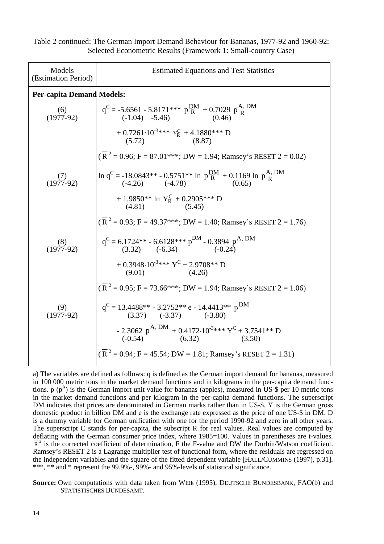| Models<br>(Estimation Period) | <b>Estimated Equations and Test Statistics</b>                                                          |  |  |  |  |
|-------------------------------|---------------------------------------------------------------------------------------------------------|--|--|--|--|
|                               | <b>Per-capita Demand Models:</b>                                                                        |  |  |  |  |
| (6)<br>$(1977-92)$            | $q^C = -5.6561 - 5.8171*** p\frac{DM}{R} + 0.7029 p\frac{A, DM}{R}$<br>(-1.04) -5.46) (0.46)            |  |  |  |  |
|                               | + $0.7261 \cdot 10^{-3}$ *** $Y_R^C$ + 4.1880*** D<br>$(5.72)$ $(8.87)$                                 |  |  |  |  |
|                               | $(\overline{R}^2 = 0.96; F = 87.01***; DW = 1.94; Ramsey's RESET 2 = 0.02)$                             |  |  |  |  |
| $(1977-92)$                   | $\ln q^C = -18.0843^{**} - 0.5751^{**} \ln p_R^{DM} + 0.1169 \ln p_R^{A, DM}$<br>(-4.26) (-4.78) (0.65) |  |  |  |  |
|                               | + 1.9850** ln $Y_R^C$ + 0.2905*** D<br>(4.81) (5.45)                                                    |  |  |  |  |
|                               | $(\overline{R}^2 = 0.93; F = 49.37***; DW = 1.40; Ramsey's RESET 2 = 1.76)$                             |  |  |  |  |
| (8)<br>$(1977-92)$            | $q^C = 6.1724** - 6.6128** p^{DM} - 0.3894 p^{A, DM}$<br>$(3.32)$ $(-6.34)$ $(-0.24)$                   |  |  |  |  |
|                               | + $0.3948 \cdot 10^{-3}$ *** $Y^C$ + 2.9708** D<br>$(9.01)$ $(4.26)$                                    |  |  |  |  |
|                               | $(\overline{R}^2 = 0.95; F = 73.66***; DW = 1.94; Ramsey's RESET 2 = 1.06)$                             |  |  |  |  |
| (9)<br>$(1977-92)$            | $q^C = 13.4488^{**} - 3.2752^{**}$ e - 14.4413** p <sup>DM</sup><br>$(3.37)$ $(-3.37)$ $(-3.80)$        |  |  |  |  |
|                               | - 2.3062 p <sup>A, DM</sup> + 0.4172·10 <sup>-3</sup> *** $Y^C$ + 3.7541** D<br>(-0.54) (6.32) (3.50)   |  |  |  |  |
|                               | $(\overline{R}^2 = 0.94; F = 45.54; DW = 1.81; Ramsey's RESET 2 = 1.31)$                                |  |  |  |  |

Table 2 continued: The German Import Demand Behaviour for Bananas, 1977-92 and 1960-92: Selected Econometric Results (Framework 1: Small-country Case)

a) The variables are defined as follows: q is defined as the German import demand for bananas, measured in 100 000 metric tons in the market demand functions and in kilograms in the per-capita demand functions. p  $(p^A)$  is the German import unit value for bananas (apples), measured in US-\$ per 10 metric tons in the market demand functions and per kilogram in the per-capita demand functions. The superscript DM indicates that prices are denominated in German marks rather than in US-\$. Y is the German gross domestic product in billion DM and e is the exchange rate expressed as the price of one US-\$ in DM. D is a dummy variable for German unification with one for the period 1990-92 and zero in all other years. The superscript C stands for per-capita, the subscript R for real values. Real values are computed by deflating with the German consumer price index, where 1985=100. Values in parentheses are t-values.  $\overline{R}^2$  is the corrected coefficient of determination, F the F-value and DW the Durbin/Watson coefficient. Ramsey's RESET 2 is a Lagrange multiplier test of functional form, where the residuals are regressed on the independent variables and the square of the fitted dependent variable [HALL/CUMMINS (1997), p.31]. \*\*\*, \*\* and \* represent the 99.9%-, 99%- and 95%-levels of statistical significance.

**Source:** Own computations with data taken from WEIß (1995), DEUTSCHE BUNDESBANK, FAO(b) and STATISTISCHES BUNDESAMT.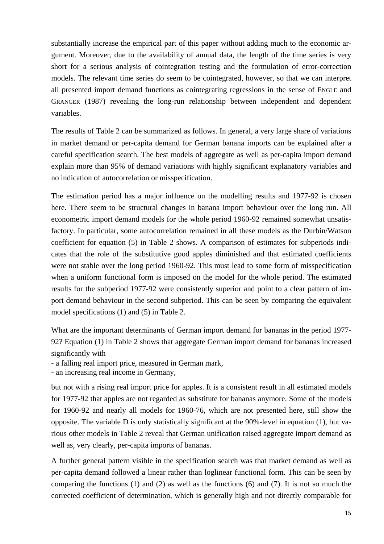substantially increase the empirical part of this paper without adding much to the economic argument. Moreover, due to the availability of annual data, the length of the time series is very short for a serious analysis of cointegration testing and the formulation of error-correction models. The relevant time series do seem to be cointegrated, however, so that we can interpret all presented import demand functions as cointegrating regressions in the sense of ENGLE and GRANGER (1987) revealing the long-run relationship between independent and dependent variables.

The results of Table 2 can be summarized as follows. In general, a very large share of variations in market demand or per-capita demand for German banana imports can be explained after a careful specification search. The best models of aggregate as well as per-capita import demand explain more than 95% of demand variations with highly significant explanatory variables and no indication of autocorrelation or misspecification.

The estimation period has a major influence on the modelling results and 1977-92 is chosen here. There seem to be structural changes in banana import behaviour over the long run. All econometric import demand models for the whole period 1960-92 remained somewhat unsatisfactory. In particular, some autocorrelation remained in all these models as the Durbin/Watson coefficient for equation (5) in Table 2 shows. A comparison of estimates for subperiods indicates that the role of the substitutive good apples diminished and that estimated coefficients were not stable over the long period 1960-92. This must lead to some form of misspecification when a uniform functional form is imposed on the model for the whole period. The estimated results for the subperiod 1977-92 were consistently superior and point to a clear pattern of import demand behaviour in the second subperiod. This can be seen by comparing the equivalent model specifications (1) and (5) in Table 2.

What are the important determinants of German import demand for bananas in the period 1977- 92? Equation (1) in Table 2 shows that aggregate German import demand for bananas increased significantly with

- a falling real import price, measured in German mark,

- an increasing real income in Germany,

but not with a rising real import price for apples. It is a consistent result in all estimated models for 1977-92 that apples are not regarded as substitute for bananas anymore. Some of the models for 1960-92 and nearly all models for 1960-76, which are not presented here, still show the opposite. The variable D is only statistically significant at the 90%-level in equation (1), but various other models in Table 2 reveal that German unification raised aggregate import demand as well as, very clearly, per-capita imports of bananas.

A further general pattern visible in the specification search was that market demand as well as per-capita demand followed a linear rather than loglinear functional form. This can be seen by comparing the functions (1) and (2) as well as the functions (6) and (7). It is not so much the corrected coefficient of determination, which is generally high and not directly comparable for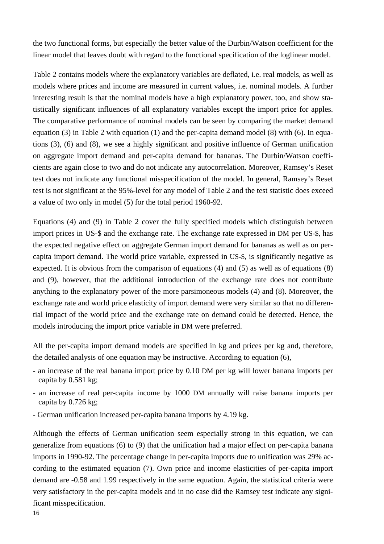the two functional forms, but especially the better value of the Durbin/Watson coefficient for the linear model that leaves doubt with regard to the functional specification of the loglinear model.

Table 2 contains models where the explanatory variables are deflated, i.e. real models, as well as models where prices and income are measured in current values, i.e. nominal models. A further interesting result is that the nominal models have a high explanatory power, too, and show statistically significant influences of all explanatory variables except the import price for apples. The comparative performance of nominal models can be seen by comparing the market demand equation (3) in Table 2 with equation (1) and the per-capita demand model (8) with (6). In equations (3), (6) and (8), we see a highly significant and positive influence of German unification on aggregate import demand and per-capita demand for bananas. The Durbin/Watson coefficients are again close to two and do not indicate any autocorrelation. Moreover, Ramsey's Reset test does not indicate any functional misspecification of the model. In general, Ramsey's Reset test is not significant at the 95%-level for any model of Table 2 and the test statistic does exceed a value of two only in model (5) for the total period 1960-92.

Equations (4) and (9) in Table 2 cover the fully specified models which distinguish between import prices in US-\$ and the exchange rate. The exchange rate expressed in DM per US-\$, has the expected negative effect on aggregate German import demand for bananas as well as on percapita import demand. The world price variable, expressed in US-\$, is significantly negative as expected. It is obvious from the comparison of equations (4) and (5) as well as of equations (8) and (9), however, that the additional introduction of the exchange rate does not contribute anything to the explanatory power of the more parsimoneous models (4) and (8). Moreover, the exchange rate and world price elasticity of import demand were very similar so that no differential impact of the world price and the exchange rate on demand could be detected. Hence, the models introducing the import price variable in DM were preferred.

All the per-capita import demand models are specified in kg and prices per kg and, therefore, the detailed analysis of one equation may be instructive. According to equation (6),

- an increase of the real banana import price by 0.10 DM per kg will lower banana imports per capita by 0.581 kg;
- an increase of real per-capita income by 1000 DM annually will raise banana imports per capita by 0.726 kg;
- German unification increased per-capita banana imports by 4.19 kg.

Although the effects of German unification seem especially strong in this equation, we can generalize from equations (6) to (9) that the unification had a major effect on per-capita banana imports in 1990-92. The percentage change in per-capita imports due to unification was 29% according to the estimated equation (7). Own price and income elasticities of per-capita import demand are -0.58 and 1.99 respectively in the same equation. Again, the statistical criteria were very satisfactory in the per-capita models and in no case did the Ramsey test indicate any significant misspecification.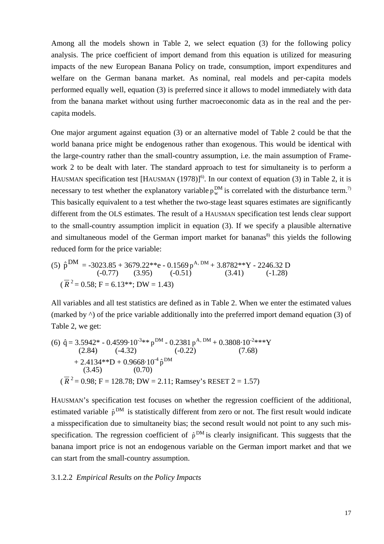Among all the models shown in Table 2, we select equation (3) for the following policy analysis. The price coefficient of import demand from this equation is utilized for measuring impacts of the new European Banana Policy on trade, consumption, import expenditures and welfare on the German banana market. As nominal, real models and per-capita models performed equally well, equation (3) is preferred since it allows to model immediately with data from the banana market without using further macroeconomic data as in the real and the percapita models.

necessary to test whether the explanatory variable  $p_w^{\text{DM}}$  is correlated with the disturbance term.<sup>7)</sup> One major argument against equation (3) or an alternative model of Table 2 could be that the world banana price might be endogenous rather than exogenous. This would be identical with the large-country rather than the small-country assumption, i.e. the main assumption of Framework 2 to be dealt with later. The standard approach to test for simultaneity is to perform a HAUSMAN specification test [HAUSMAN  $(1978)$ ]<sup>6</sup>. In our context of equation (3) in Table 2, it is This basically equivalent to a test whether the two-stage least squares estimates are significantly different from the OLS estimates. The result of a HAUSMAN specification test lends clear support to the small-country assumption implicit in equation (3). If we specify a plausible alternative and simultaneous model of the German import market for bananas $\delta$  this yields the following reduced form for the price variable:

(5) 
$$
\hat{p}^{DM} = -3023.85 + 3679.22^{**}e - 0.1569 p^{A, DM} + 3.8782^{**}Y - 2246.32 D
$$
  
\n(-0.77) (3.95) (-0.51) (3.41) (-1.28)  
\n( $\overline{R}^2 = 0.58$ ; F = 6.13\*\*; DW = 1.43)

All variables and all test statistics are defined as in Table 2. When we enter the estimated values (marked by  $\land$ ) of the price variable additionally into the preferred import demand equation (3) of Table 2, we get:

(6) 
$$
\hat{q} = 3.5942^* - 0.4599 \cdot 10^{-3} * ^{*} p^{DM} - 0.2381 p^{A, DM} + 0.3808 \cdot 10^{-2} * * ^{Y}
$$
  
\n(2.84) (-4.32) (-0.22) (7.68)  
\n+ 2.4134 \*\*D + 0.9668 \cdot 10^{-4} \hat{p}^{DM}  
\n(3.45) (0.70)  
\n( $\overline{R}^2 = 0.98$ ; F = 128.78; DW = 2.11; Ramsey's REST 2 = 1.57)

HAUSMAN's specification test focuses on whether the regression coefficient of the additional, estimated variable  $\hat{p}^{DM}$  is statistically different from zero or not. The first result would indicate a misspecification due to simultaneity bias; the second result would not point to any such misspecification. The regression coefficient of  $\hat{p}^{DM}$  is clearly insignificant. This suggests that the banana import price is not an endogenous variable on the German import market and that we can start from the small-country assumption.

#### 3.1.2.2 *Empirical Results on the Policy Impacts*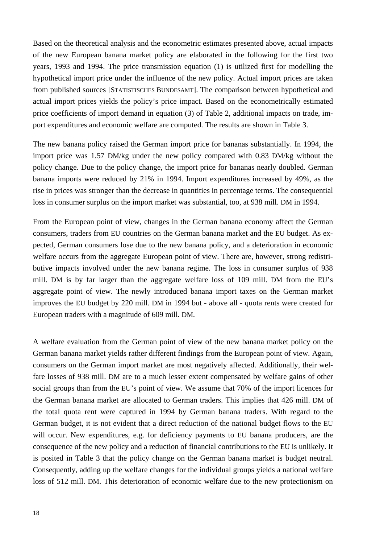Based on the theoretical analysis and the econometric estimates presented above, actual impacts of the new European banana market policy are elaborated in the following for the first two years, 1993 and 1994. The price transmission equation (1) is utilized first for modelling the hypothetical import price under the influence of the new policy. Actual import prices are taken from published sources [STATISTISCHES BUNDESAMT]. The comparison between hypothetical and actual import prices yields the policy's price impact. Based on the econometrically estimated price coefficients of import demand in equation (3) of Table 2, additional impacts on trade, import expenditures and economic welfare are computed. The results are shown in Table 3.

The new banana policy raised the German import price for bananas substantially. In 1994, the import price was 1.57 DM/kg under the new policy compared with 0.83 DM/kg without the policy change. Due to the policy change, the import price for bananas nearly doubled. German banana imports were reduced by 21% in 1994. Import expenditures increased by 49%, as the rise in prices was stronger than the decrease in quantities in percentage terms. The consequential loss in consumer surplus on the import market was substantial, too, at 938 mill. DM in 1994.

From the European point of view, changes in the German banana economy affect the German consumers, traders from EU countries on the German banana market and the EU budget. As expected, German consumers lose due to the new banana policy, and a deterioration in economic welfare occurs from the aggregate European point of view. There are, however, strong redistributive impacts involved under the new banana regime. The loss in consumer surplus of 938 mill. DM is by far larger than the aggregate welfare loss of 109 mill. DM from the EU's aggregate point of view. The newly introduced banana import taxes on the German market improves the EU budget by 220 mill. DM in 1994 but - above all - quota rents were created for European traders with a magnitude of 609 mill. DM.

A welfare evaluation from the German point of view of the new banana market policy on the German banana market yields rather different findings from the European point of view. Again, consumers on the German import market are most negatively affected. Additionally, their welfare losses of 938 mill. DM are to a much lesser extent compensated by welfare gains of other social groups than from the EU's point of view. We assume that 70% of the import licences for the German banana market are allocated to German traders. This implies that 426 mill. DM of the total quota rent were captured in 1994 by German banana traders. With regard to the German budget, it is not evident that a direct reduction of the national budget flows to the EU will occur. New expenditures, e.g. for deficiency payments to EU banana producers, are the consequence of the new policy and a reduction of financial contributions to the EU is unlikely. It is posited in Table 3 that the policy change on the German banana market is budget neutral. Consequently, adding up the welfare changes for the individual groups yields a national welfare loss of 512 mill. DM. This deterioration of economic welfare due to the new protectionism on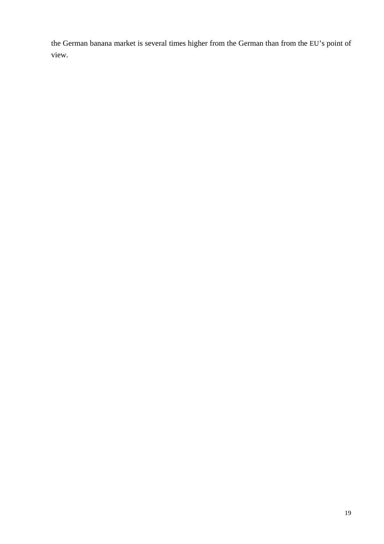the German banana market is several times higher from the German than from the EU's point of view.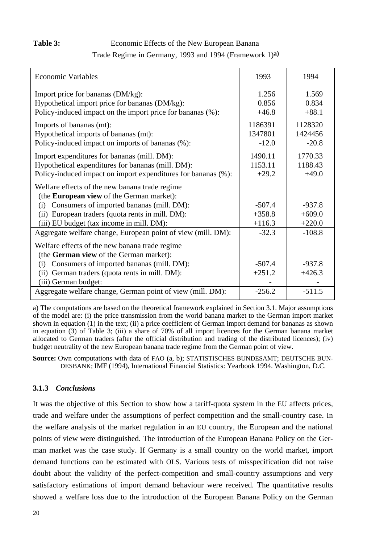#### Table 3: Economic Effects of the New European Banana

### Trade Regime in Germany, 1993 and 1994 (Framework 1)**a)**

| <b>Economic Variables</b>                                                                                                                                         | 1993                          | 1994                          |
|-------------------------------------------------------------------------------------------------------------------------------------------------------------------|-------------------------------|-------------------------------|
| Import price for bananas (DM/kg):<br>Hypothetical import price for bananas (DM/kg):<br>Policy-induced impact on the import price for bananas (%):                 | 1.256<br>0.856<br>$+46.8$     | 1.569<br>0.834<br>$+88.1$     |
| Imports of bananas (mt):<br>Hypothetical imports of bananas (mt):<br>Policy-induced impact on imports of bananas (%):                                             | 1186391<br>1347801<br>$-12.0$ | 1128320<br>1424456<br>$-20.8$ |
| Import expenditures for bananas (mill. DM):<br>Hypothetical expenditures for bananas (mill. DM):<br>Policy-induced impact on import expenditures for bananas (%): | 1490.11<br>1153.11<br>$+29.2$ | 1770.33<br>1188.43<br>$+49.0$ |
| Welfare effects of the new banana trade regime<br>(the <b>European view</b> of the German market):<br>Consumers of imported bananas (mill. DM):<br>(i)            | $-507.4$                      | $-937.8$                      |
| European traders (quota rents in mill. DM):<br>(i)<br>(iii) EU budget (tax income in mill. DM):                                                                   | $+358.8$<br>$+116.3$          | $+609.0$<br>$+220.0$          |
| Aggregate welfare change, European point of view (mill. DM):                                                                                                      | $-32.3$                       | $-108.8$                      |
| Welfare effects of the new banana trade regime<br>(the German view of the German market):                                                                         |                               |                               |
| Consumers of imported bananas (mill. DM):<br>(i)<br>German traders (quota rents in mill. DM):<br>(ii)<br>(iii) German budget:                                     | $-507.4$<br>$+251.2$          | $-937.8$<br>$+426.3$          |
| Aggregate welfare change, German point of view (mill. DM):                                                                                                        | $-256.2$                      | $-511.5$                      |

a) The computations are based on the theoretical framework explained in Section 3.1. Major assumptions of the model are: (i) the price transmission from the world banana market to the German import market shown in equation (1) in the text; (ii) a price coefficient of German import demand for bananas as shown in equation (3) of Table 3; (iii) a share of 70% of all import licences for the German banana market allocated to German traders (after the official distribution and trading of the distributed licences); (iv) budget neutrality of the new European banana trade regime from the German point of view.

**Source:** Own computations with data of FAO (a, b); STATISTISCHES BUNDESAMT; DEUTSCHE BUN-DESBANK; IMF (1994), International Financial Statistics: Yearbook 1994. Washington, D.C.

#### **3.1.3** *Conclusions*

It was the objective of this Section to show how a tariff-quota system in the EU affects prices, trade and welfare under the assumptions of perfect competition and the small-country case. In the welfare analysis of the market regulation in an EU country, the European and the national points of view were distinguished. The introduction of the European Banana Policy on the German market was the case study. If Germany is a small country on the world market, import demand functions can be estimated with OLS. Various tests of misspecification did not raise doubt about the validity of the perfect-competition and small-country assumptions and very satisfactory estimations of import demand behaviour were received. The quantitative results showed a welfare loss due to the introduction of the European Banana Policy on the German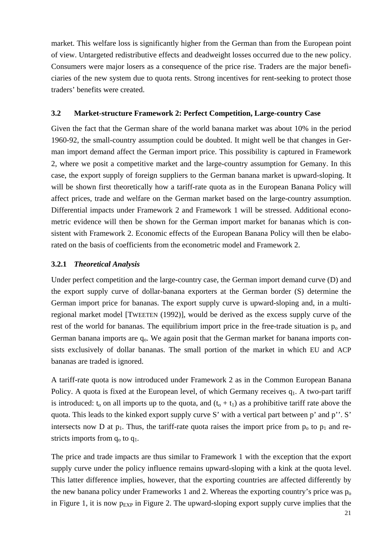market. This welfare loss is significantly higher from the German than from the European point of view. Untargeted redistributive effects and deadweight losses occurred due to the new policy. Consumers were major losers as a consequence of the price rise. Traders are the major beneficiaries of the new system due to quota rents. Strong incentives for rent-seeking to protect those traders' benefits were created.

#### **3.2 Market-structure Framework 2: Perfect Competition, Large-country Case**

Given the fact that the German share of the world banana market was about 10% in the period 1960-92, the small-country assumption could be doubted. It might well be that changes in German import demand affect the German import price. This possibility is captured in Framework 2, where we posit a competitive market and the large-country assumption for Gemany. In this case, the export supply of foreign suppliers to the German banana market is upward-sloping. It will be shown first theoretically how a tariff-rate quota as in the European Banana Policy will affect prices, trade and welfare on the German market based on the large-country assumption. Differential impacts under Framework 2 and Framework 1 will be stressed. Additional econometric evidence will then be shown for the German import market for bananas which is consistent with Framework 2. Economic effects of the European Banana Policy will then be elaborated on the basis of coefficients from the econometric model and Framework 2.

#### **3.2.1** *Theoretical Analysis*

Under perfect competition and the large-country case, the German import demand curve (D) and the export supply curve of dollar-banana exporters at the German border (S) determine the German import price for bananas. The export supply curve is upward-sloping and, in a multiregional market model [TWEETEN (1992)], would be derived as the excess supply curve of the rest of the world for bananas. The equilibrium import price in the free-trade situation is  $p_0$  and German banana imports are  $q_0$ . We again posit that the German market for banana imports consists exclusively of dollar bananas. The small portion of the market in which EU and ACP bananas are traded is ignored.

A tariff-rate quota is now introduced under Framework 2 as in the Common European Banana Policy. A quota is fixed at the European level, of which Germany receives  $q_1$ . A two-part tariff is introduced:  $t_0$  on all imports up to the quota, and  $(t_0 + t_1)$  as a prohibitive tariff rate above the quota. This leads to the kinked export supply curve S' with a vertical part between p' and p''. S' intersects now D at  $p_1$ . Thus, the tariff-rate quota raises the import price from  $p_0$  to  $p_1$  and restricts imports from  $q_0$  to  $q_1$ .

The price and trade impacts are thus similar to Framework 1 with the exception that the export supply curve under the policy influence remains upward-sloping with a kink at the quota level. This latter difference implies, however, that the exporting countries are affected differently by the new banana policy under Frameworks 1 and 2. Whereas the exporting country's price was  $p_0$ in Figure 1, it is now  $p_{EXP}$  in Figure 2. The upward-sloping export supply curve implies that the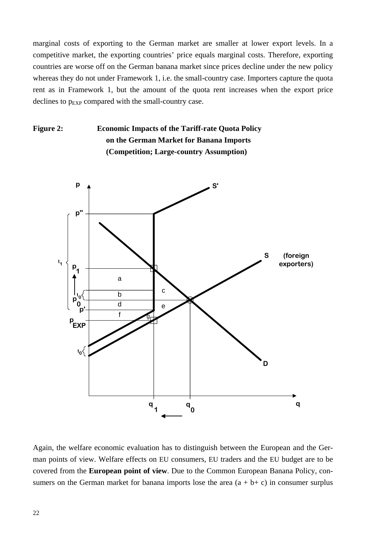marginal costs of exporting to the German market are smaller at lower export levels. In a competitive market, the exporting countries' price equals marginal costs. Therefore, exporting countries are worse off on the German banana market since prices decline under the new policy whereas they do not under Framework 1, i.e. the small-country case. Importers capture the quota rent as in Framework 1, but the amount of the quota rent increases when the export price declines to  $p_{EXP}$  compared with the small-country case.

## **Figure 2: Economic Impacts of the Tariff-rate Quota Policy on the German Market for Banana Imports (Competition; Large-country Assumption)**



Again, the welfare economic evaluation has to distinguish between the European and the German points of view. Welfare effects on EU consumers, EU traders and the EU budget are to be covered from the **European point of view**. Due to the Common European Banana Policy, consumers on the German market for banana imports lose the area  $(a + b + c)$  in consumer surplus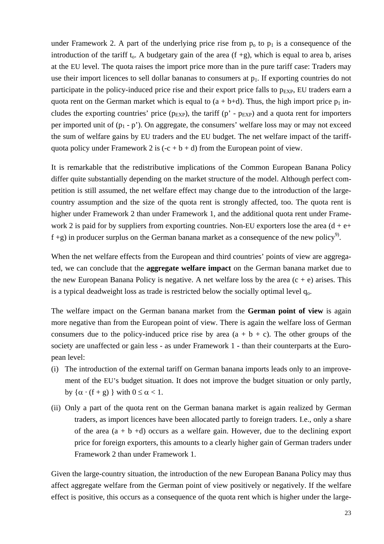under Framework 2. A part of the underlying price rise from  $p_0$  to  $p_1$  is a consequence of the introduction of the tariff t<sub>o</sub>. A budgetary gain of the area  $(f + g)$ , which is equal to area b, arises at the EU level. The quota raises the import price more than in the pure tariff case: Traders may use their import licences to sell dollar bananas to consumers at  $p_1$ . If exporting countries do not participate in the policy-induced price rise and their export price falls to  $p_{EXP}$ , EU traders earn a quota rent on the German market which is equal to  $(a + b+d)$ . Thus, the high import price  $p_1$  includes the exporting countries' price ( $p_{EXP}$ ), the tariff ( $p'$  -  $p_{EXP}$ ) and a quota rent for importers per imported unit of  $(p_1 - p')$ . On aggregate, the consumers' welfare loss may or may not exceed the sum of welfare gains by EU traders and the EU budget. The net welfare impact of the tariffquota policy under Framework 2 is  $(-c + b + d)$  from the European point of view.

It is remarkable that the redistributive implications of the Common European Banana Policy differ quite substantially depending on the market structure of the model. Although perfect competition is still assumed, the net welfare effect may change due to the introduction of the largecountry assumption and the size of the quota rent is strongly affected, too. The quota rent is higher under Framework 2 than under Framework 1, and the additional quota rent under Framework 2 is paid for by suppliers from exporting countries. Non-EU exporters lose the area  $(d + e +$  $f + g$ ) in producer surplus on the German banana market as a consequence of the new policy<sup>9</sup>.

When the net welfare effects from the European and third countries' points of view are aggregated, we can conclude that the **aggregate welfare impact** on the German banana market due to the new European Banana Policy is negative. A net welfare loss by the area  $(c + e)$  arises. This is a typical deadweight loss as trade is restricted below the socially optimal level  $q_0$ .

The welfare impact on the German banana market from the **German point of view** is again more negative than from the European point of view. There is again the welfare loss of German consumers due to the policy-induced price rise by area  $(a + b + c)$ . The other groups of the society are unaffected or gain less - as under Framework 1 - than their counterparts at the European level:

- (i) The introduction of the external tariff on German banana imports leads only to an improvement of the EU's budget situation. It does not improve the budget situation or only partly, by  $\{\alpha \cdot (f + g)\}\$  with  $0 \leq \alpha < 1$ .
- (ii) Only a part of the quota rent on the German banana market is again realized by German traders, as import licences have been allocated partly to foreign traders. I.e., only a share of the area  $(a + b + d)$  occurs as a welfare gain. However, due to the declining export price for foreign exporters, this amounts to a clearly higher gain of German traders under Framework 2 than under Framework 1.

Given the large-country situation, the introduction of the new European Banana Policy may thus affect aggregate welfare from the German point of view positively or negatively. If the welfare effect is positive, this occurs as a consequence of the quota rent which is higher under the large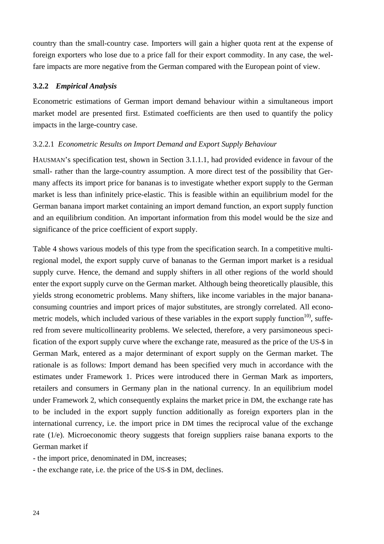country than the small-country case. Importers will gain a higher quota rent at the expense of foreign exporters who lose due to a price fall for their export commodity. In any case, the welfare impacts are more negative from the German compared with the European point of view.

#### **3.2.2** *Empirical Analysis*

Econometric estimations of German import demand behaviour within a simultaneous import market model are presented first. Estimated coefficients are then used to quantify the policy impacts in the large-country case.

#### 3.2.2.1 *Econometric Results on Import Demand and Export Supply Behaviour*

HAUSMAN's specification test, shown in Section 3.1.1.1, had provided evidence in favour of the small- rather than the large-country assumption. A more direct test of the possibility that Germany affects its import price for bananas is to investigate whether export supply to the German market is less than infinitely price-elastic. This is feasible within an equilibrium model for the German banana import market containing an import demand function, an export supply function and an equilibrium condition. An important information from this model would be the size and significance of the price coefficient of export supply.

Table 4 shows various models of this type from the specification search. In a competitive multiregional model, the export supply curve of bananas to the German import market is a residual supply curve. Hence, the demand and supply shifters in all other regions of the world should enter the export supply curve on the German market. Although being theoretically plausible, this yields strong econometric problems. Many shifters, like income variables in the major bananaconsuming countries and import prices of major substitutes, are strongly correlated. All econometric models, which included various of these variables in the export supply function $^{10}$ , suffered from severe multicollinearity problems. We selected, therefore, a very parsimoneous specification of the export supply curve where the exchange rate, measured as the price of the US-\$ in German Mark, entered as a major determinant of export supply on the German market. The rationale is as follows: Import demand has been specified very much in accordance with the estimates under Framework 1. Prices were introduced there in German Mark as importers, retailers and consumers in Germany plan in the national currency. In an equilibrium model under Framework 2, which consequently explains the market price in DM, the exchange rate has to be included in the export supply function additionally as foreign exporters plan in the international currency, i.e. the import price in DM times the reciprocal value of the exchange rate (1/e). Microeconomic theory suggests that foreign suppliers raise banana exports to the German market if

- the import price, denominated in DM, increases;

- the exchange rate, i.e. the price of the US-\$ in DM, declines.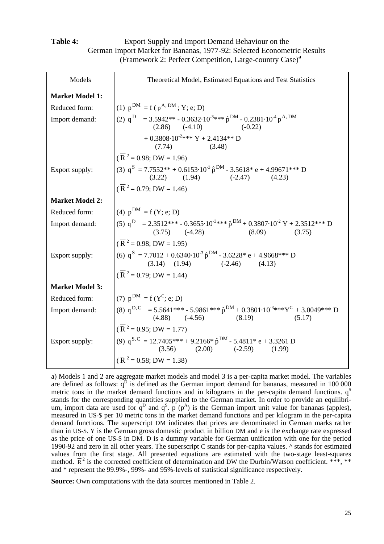#### **Table 4:** Export Supply and Import Demand Behaviour on the German Import Market for Bananas, 1977-92: Selected Econometric Results (Framework 2: Perfect Competition, Large-country Case)**<sup>a</sup>**

| Models                 | Theoretical Model, Estimated Equations and Test Statistics                                                                                            |  |  |  |
|------------------------|-------------------------------------------------------------------------------------------------------------------------------------------------------|--|--|--|
| <b>Market Model 1:</b> |                                                                                                                                                       |  |  |  |
| Reduced form:          | (1) $p^{DM} = f(p^{A,DM}; Y; e; D)$                                                                                                                   |  |  |  |
| Import demand:         | (2) $q^{D}$ = 3.5942** - 0.3632·10 <sup>-3</sup> *** $\hat{p}^{DM}$ - 0.2381·10 <sup>-4</sup> $p^{A,DM}$<br>(2.86) (-4.10) (-0.22)                    |  |  |  |
|                        | + 0.3808.10 <sup>-2***</sup> Y + 2.4134** D<br>(3.48)<br>(7.74)                                                                                       |  |  |  |
|                        | $(\overline{R}^2 = 0.98; DW = 1.96)$                                                                                                                  |  |  |  |
| Export supply:         | (3) $q^S = 7.7552^{**} + 0.6153 \cdot 10^{-3} \hat{p}^{DM} - 3.5618^* e + 4.99671^{***} D$<br>$(3.22)$ $(1.94)$ $(-2.47)$ $(4.23)$                    |  |  |  |
|                        | $(\overline{R}^2 = 0.79; DW = 1.46)$                                                                                                                  |  |  |  |
| <b>Market Model 2:</b> |                                                                                                                                                       |  |  |  |
| Reduced form:          | (4) $p^{DM} = f(Y; e; D)$                                                                                                                             |  |  |  |
| Import demand:         | (5) $q^D$ = 2.3512*** - 0.3655-10 <sup>-3</sup> *** $\hat{p}^{DM}$ + 0.3807-10 <sup>-2</sup> Y + 2.3512*** D<br>$(3.75)$ $(-4.28)$ $(8.09)$<br>(3.75) |  |  |  |
|                        | $(\overline{R}^2 = 0.98; DW = 1.95)$                                                                                                                  |  |  |  |
| Export supply:         | (6) $q^S = 7.7012 + 0.6340 \cdot 10^{-3} \hat{p}^{DM} - 3.6228^* e + 4.9668^{***} D$<br>$(3.14)$ $(1.94)$ $(-2.46)$ $(4.13)$                          |  |  |  |
|                        | $(\overline{R}^2 = 0.79; DW = 1.44)$                                                                                                                  |  |  |  |
| <b>Market Model 3:</b> |                                                                                                                                                       |  |  |  |
| Reduced form:          | (7) $p^{DM} = f(Y^C; e; D)$                                                                                                                           |  |  |  |
| Import demand:         | (8) $q^{D,C}$ = 5.5641*** - 5.9861*** $\hat{p}^{DM}$ + 0.3801·10 <sup>-3</sup> *** $Y^C$ + 3.0049*** D<br>(4.88) (-4.56) (8.19) (5.17)                |  |  |  |
|                        | $(\overline{R}^2 = 0.95; DW = 1.77)$                                                                                                                  |  |  |  |
| Export supply:         | (9) $q^{S,C} = 12.7405*** + 9.2166* \hat{p}^{DM} - 5.4811* e + 3.3261 D$<br>$(3.56)$ $(2.00)$ $(-2.59)$ $(1.99)$                                      |  |  |  |
|                        | $(\overline{R}^2 = 0.58; DW = 1.38)$                                                                                                                  |  |  |  |

a) Models 1 and 2 are aggregate market models and model 3 is a per-capita market model. The variables are defined as follows:  $q<sup>D</sup>$  is defined as the German import demand for bananas, measured in  $100\,000$ metric tons in the market demand functions and in kilograms in the per-capita demand functions.  $q<sup>S</sup>$ stands for the corresponding quantities supplied to the German market. In order to provide an equilibrium, import data are used for  $q^D$  and  $q^S$ .  $p^T(p^A)$  is the German import unit value for bananas (apples), measured in US-\$ per 10 metric tons in the market demand functions and per kilogram in the per-capita demand functions. The superscript DM indicates that prices are denominated in German marks rather than in US-\$. Y is the German gross domestic product in billion DM and e is the exchange rate expressed as the price of one US-\$ in DM. D is a dummy variable for German unification with one for the period 1990-92 and zero in all other years. The superscript C stands for per-capita values. ^ stands for estimated values from the first stage. All presented equations are estimated with the two-stage least-squares method.  $\overline{R}^2$  is the corrected coefficient of determination and DW the Durbin/Watson coefficient. \*\*\*, \*\* and \* represent the 99.9%-, 99%- and 95%-levels of statistical significance respectively.

**Source:** Own computations with the data sources mentioned in Table 2.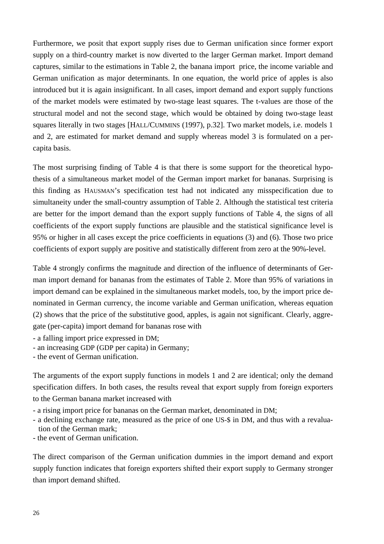Furthermore, we posit that export supply rises due to German unification since former export supply on a third-country market is now diverted to the larger German market. Import demand captures, similar to the estimations in Table 2, the banana import price, the income variable and German unification as major determinants. In one equation, the world price of apples is also introduced but it is again insignificant. In all cases, import demand and export supply functions of the market models were estimated by two-stage least squares. The t-values are those of the structural model and not the second stage, which would be obtained by doing two-stage least squares literally in two stages [HALL/CUMMINS (1997), p.32]. Two market models, i.e. models 1 and 2, are estimated for market demand and supply whereas model 3 is formulated on a percapita basis.

The most surprising finding of Table 4 is that there is some support for the theoretical hypothesis of a simultaneous market model of the German import market for bananas. Surprising is this finding as HAUSMAN's specification test had not indicated any misspecification due to simultaneity under the small-country assumption of Table 2. Although the statistical test criteria are better for the import demand than the export supply functions of Table 4, the signs of all coefficients of the export supply functions are plausible and the statistical significance level is 95% or higher in all cases except the price coefficients in equations (3) and (6). Those two price coefficients of export supply are positive and statistically different from zero at the 90%-level.

Table 4 strongly confirms the magnitude and direction of the influence of determinants of German import demand for bananas from the estimates of Table 2. More than 95% of variations in import demand can be explained in the simultaneous market models, too, by the import price denominated in German currency, the income variable and German unification, whereas equation (2) shows that the price of the substitutive good, apples, is again not significant. Clearly, aggregate (per-capita) import demand for bananas rose with

- a falling import price expressed in DM;

- an increasing GDP (GDP per capita) in Germany;
- the event of German unification.

The arguments of the export supply functions in models 1 and 2 are identical; only the demand specification differs. In both cases, the results reveal that export supply from foreign exporters to the German banana market increased with

- a rising import price for bananas on the German market, denominated in DM;
- a declining exchange rate, measured as the price of one US-\$ in DM, and thus with a revaluation of the German mark;
- the event of German unification.

The direct comparison of the German unification dummies in the import demand and export supply function indicates that foreign exporters shifted their export supply to Germany stronger than import demand shifted.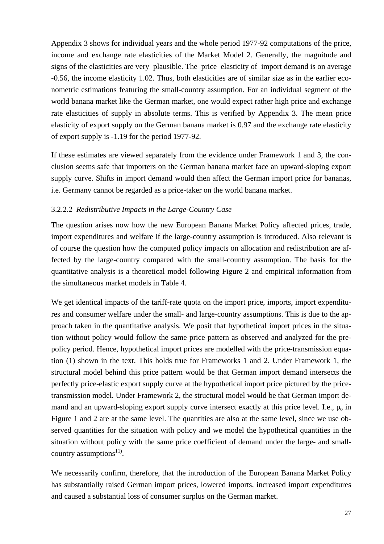Appendix 3 shows for individual years and the whole period 1977-92 computations of the price, income and exchange rate elasticities of the Market Model 2. Generally, the magnitude and signs of the elasticities are very plausible. The price elasticity of import demand is on average -0.56, the income elasticity 1.02. Thus, both elasticities are of similar size as in the earlier econometric estimations featuring the small-country assumption. For an individual segment of the world banana market like the German market, one would expect rather high price and exchange rate elasticities of supply in absolute terms. This is verified by Appendix 3. The mean price elasticity of export supply on the German banana market is 0.97 and the exchange rate elasticity of export supply is -1.19 for the period 1977-92.

If these estimates are viewed separately from the evidence under Framework 1 and 3, the conclusion seems safe that importers on the German banana market face an upward-sloping export supply curve. Shifts in import demand would then affect the German import price for bananas, i.e. Germany cannot be regarded as a price-taker on the world banana market.

#### 3.2.2.2 *Redistributive Impacts in the Large-Country Case*

The question arises now how the new European Banana Market Policy affected prices, trade, import expenditures and welfare if the large-country assumption is introduced. Also relevant is of course the question how the computed policy impacts on allocation and redistribution are affected by the large-country compared with the small-country assumption. The basis for the quantitative analysis is a theoretical model following Figure 2 and empirical information from the simultaneous market models in Table 4.

We get identical impacts of the tariff-rate quota on the import price, imports, import expenditures and consumer welfare under the small- and large-country assumptions. This is due to the approach taken in the quantitative analysis. We posit that hypothetical import prices in the situation without policy would follow the same price pattern as observed and analyzed for the prepolicy period. Hence, hypothetical import prices are modelled with the price-transmission equation (1) shown in the text. This holds true for Frameworks 1 and 2. Under Framework 1, the structural model behind this price pattern would be that German import demand intersects the perfectly price-elastic export supply curve at the hypothetical import price pictured by the pricetransmission model. Under Framework 2, the structural model would be that German import demand and an upward-sloping export supply curve intersect exactly at this price level. I.e.,  $p<sub>o</sub>$  in Figure 1 and 2 are at the same level. The quantities are also at the same level, since we use observed quantities for the situation with policy and we model the hypothetical quantities in the situation without policy with the same price coefficient of demand under the large- and smallcountry assumptions $^{11}$ .

We necessarily confirm, therefore, that the introduction of the European Banana Market Policy has substantially raised German import prices, lowered imports, increased import expenditures and caused a substantial loss of consumer surplus on the German market.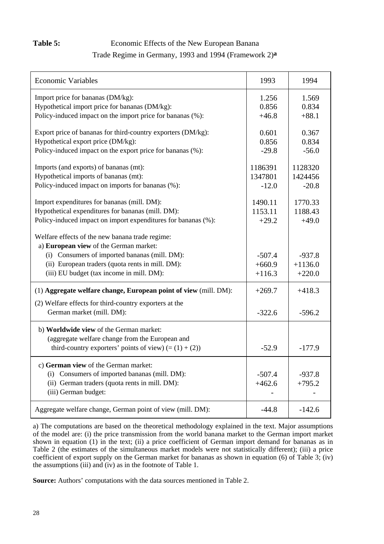## Table 5: Economic Effects of the New European Banana

#### Trade Regime in Germany, 1993 and 1994 (Framework 2)**a**

| <b>Economic Variables</b>                                                                  | 1993     | 1994      |
|--------------------------------------------------------------------------------------------|----------|-----------|
| Import price for bananas (DM/kg):                                                          | 1.256    | 1.569     |
| Hypothetical import price for bananas (DM/kg):                                             | 0.856    | 0.834     |
| Policy-induced impact on the import price for bananas (%):                                 | $+46.8$  | $+88.1$   |
|                                                                                            |          |           |
| Export price of bananas for third-country exporters (DM/kg):                               | 0.601    | 0.367     |
| Hypothetical export price (DM/kg):                                                         | 0.856    | 0.834     |
| Policy-induced impact on the export price for bananas (%):                                 | $-29.8$  | $-56.0$   |
| Imports (and exports) of bananas (mt):                                                     | 1186391  | 1128320   |
| Hypothetical imports of bananas (mt):                                                      | 1347801  | 1424456   |
| Policy-induced impact on imports for bananas (%):                                          | $-12.0$  | $-20.8$   |
|                                                                                            |          |           |
| Import expenditures for bananas (mill. DM):                                                | 1490.11  | 1770.33   |
| Hypothetical expenditures for bananas (mill. DM):                                          | 1153.11  | 1188.43   |
| Policy-induced impact on import expenditures for bananas (%):                              | $+29.2$  | $+49.0$   |
| Welfare effects of the new banana trade regime:<br>a) European view of the German market:  |          |           |
| (i) Consumers of imported bananas (mill. DM):                                              | $-507.4$ | $-937.8$  |
| (ii) European traders (quota rents in mill. DM):                                           | $+660.9$ | $+1136.0$ |
| (iii) EU budget (tax income in mill. DM):                                                  | $+116.3$ | $+220.0$  |
|                                                                                            |          |           |
| (1) Aggregate welfare change, European point of view (mill. DM):                           | $+269.7$ | $+418.3$  |
| (2) Welfare effects for third-country exporters at the                                     |          |           |
| German market (mill. DM):                                                                  | $-322.6$ | $-596.2$  |
| b) Worldwide view of the German market:<br>(aggregate welfare change from the European and |          |           |
| third-country exporters' points of view) $(=(1) + (2))$                                    | $-52.9$  | $-177.9$  |
| c) German view of the German market:                                                       |          |           |
| Consumers of imported bananas (mill. DM):<br>(i)                                           | $-507.4$ | $-937.8$  |
| (ii) German traders (quota rents in mill. DM):                                             | $+462.6$ | $+795.2$  |
| (iii) German budget:                                                                       |          |           |
|                                                                                            |          |           |
| Aggregate welfare change, German point of view (mill. DM):                                 | $-44.8$  | $-142.6$  |

a) The computations are based on the theoretical methodology explained in the text. Major assumptions of the model are: (i) the price transmission from the world banana market to the German import market shown in equation (1) in the text; (ii) a price coefficient of German import demand for bananas as in Table 2 (the estimates of the simultaneous market models were not statistically different); (iii) a price coefficient of export supply on the German market for bananas as shown in equation (6) of Table 3; (iv) the assumptions  $(iii)$  and  $(iv)$  as in the footnote of Table 1.

**Source:** Authors' computations with the data sources mentioned in Table 2.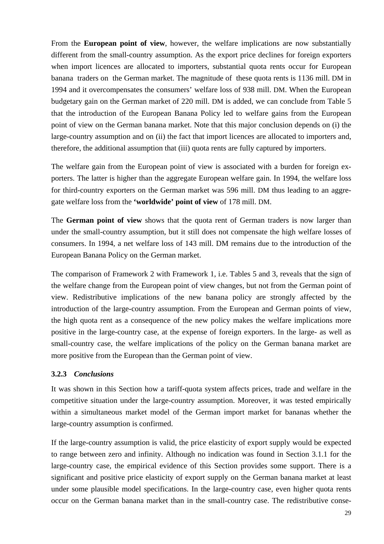From the **European point of view**, however, the welfare implications are now substantially different from the small-country assumption. As the export price declines for foreign exporters when import licences are allocated to importers, substantial quota rents occur for European banana traders on the German market. The magnitude of these quota rents is 1136 mill. DM in 1994 and it overcompensates the consumers' welfare loss of 938 mill. DM. When the European budgetary gain on the German market of 220 mill. DM is added, we can conclude from Table 5 that the introduction of the European Banana Policy led to welfare gains from the European point of view on the German banana market. Note that this major conclusion depends on (i) the large-country assumption and on (ii) the fact that import licences are allocated to importers and, therefore, the additional assumption that (iii) quota rents are fully captured by importers.

The welfare gain from the European point of view is associated with a burden for foreign exporters. The latter is higher than the aggregate European welfare gain. In 1994, the welfare loss for third-country exporters on the German market was 596 mill. DM thus leading to an aggregate welfare loss from the **'worldwide' point of view** of 178 mill. DM.

The **German point of view** shows that the quota rent of German traders is now larger than under the small-country assumption, but it still does not compensate the high welfare losses of consumers. In 1994, a net welfare loss of 143 mill. DM remains due to the introduction of the European Banana Policy on the German market.

The comparison of Framework 2 with Framework 1, i.e. Tables 5 and 3, reveals that the sign of the welfare change from the European point of view changes, but not from the German point of view. Redistributive implications of the new banana policy are strongly affected by the introduction of the large-country assumption. From the European and German points of view, the high quota rent as a consequence of the new policy makes the welfare implications more positive in the large-country case, at the expense of foreign exporters. In the large- as well as small-country case, the welfare implications of the policy on the German banana market are more positive from the European than the German point of view.

### **3.2.3** *Conclusions*

It was shown in this Section how a tariff-quota system affects prices, trade and welfare in the competitive situation under the large-country assumption. Moreover, it was tested empirically within a simultaneous market model of the German import market for bananas whether the large-country assumption is confirmed.

If the large-country assumption is valid, the price elasticity of export supply would be expected to range between zero and infinity. Although no indication was found in Section 3.1.1 for the large-country case, the empirical evidence of this Section provides some support. There is a significant and positive price elasticity of export supply on the German banana market at least under some plausible model specifications. In the large-country case, even higher quota rents occur on the German banana market than in the small-country case. The redistributive conse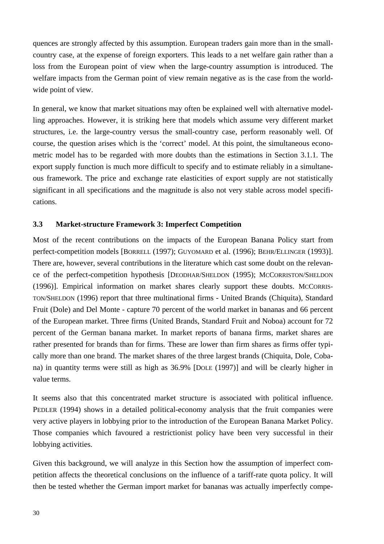quences are strongly affected by this assumption. European traders gain more than in the smallcountry case, at the expense of foreign exporters. This leads to a net welfare gain rather than a loss from the European point of view when the large-country assumption is introduced. The welfare impacts from the German point of view remain negative as is the case from the worldwide point of view.

In general, we know that market situations may often be explained well with alternative modelling approaches. However, it is striking here that models which assume very different market structures, i.e. the large-country versus the small-country case, perform reasonably well. Of course, the question arises which is the 'correct' model. At this point, the simultaneous econometric model has to be regarded with more doubts than the estimations in Section 3.1.1. The export supply function is much more difficult to specify and to estimate reliably in a simultaneous framework. The price and exchange rate elasticities of export supply are not statistically significant in all specifications and the magnitude is also not very stable across model specifications.

#### **3.3 Market-structure Framework 3: Imperfect Competition**

Most of the recent contributions on the impacts of the European Banana Policy start from perfect-competition models [BORRELL (1997); GUYOMARD et al. (1996); BEHR/ELLINGER (1993)]. There are, however, several contributions in the literature which cast some doubt on the relevance of the perfect-competition hypothesis [DEODHAR/SHELDON (1995); MCCORRISTON/SHELDON (1996)]. Empirical information on market shares clearly support these doubts. MCCORRIS-TON/SHELDON (1996) report that three multinational firms - United Brands (Chiquita), Standard Fruit (Dole) and Del Monte - capture 70 percent of the world market in bananas and 66 percent of the European market. Three firms (United Brands, Standard Fruit and Noboa) account for 72 percent of the German banana market. In market reports of banana firms, market shares are rather presented for brands than for firms. These are lower than firm shares as firms offer typically more than one brand. The market shares of the three largest brands (Chiquita, Dole, Cobana) in quantity terms were still as high as 36.9% [DOLE (1997)] and will be clearly higher in value terms.

It seems also that this concentrated market structure is associated with political influence. PEDLER (1994) shows in a detailed political-economy analysis that the fruit companies were very active players in lobbying prior to the introduction of the European Banana Market Policy. Those companies which favoured a restrictionist policy have been very successful in their lobbying activities.

Given this background, we will analyze in this Section how the assumption of imperfect competition affects the theoretical conclusions on the influence of a tariff-rate quota policy. It will then be tested whether the German import market for bananas was actually imperfectly compe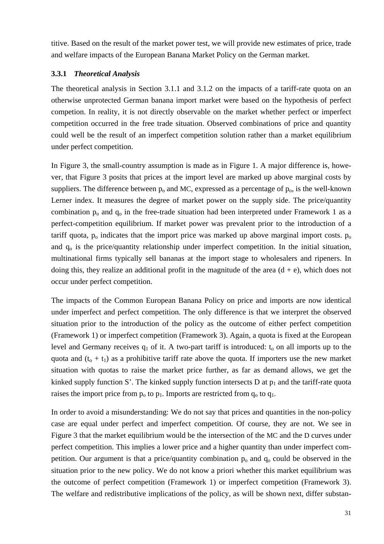titive. Based on the result of the market power test, we will provide new estimates of price, trade and welfare impacts of the European Banana Market Policy on the German market.

#### **3.3.1** *Theoretical Analysis*

The theoretical analysis in Section 3.1.1 and 3.1.2 on the impacts of a tariff-rate quota on an otherwise unprotected German banana import market were based on the hypothesis of perfect competion. In reality, it is not directly observable on the market whether perfect or imperfect competition occurred in the free trade situation. Observed combinations of price and quantity could well be the result of an imperfect competition solution rather than a market equilibrium under perfect competition.

In Figure 3, the small-country assumption is made as in Figure 1. A major difference is, however, that Figure 3 posits that prices at the import level are marked up above marginal costs by suppliers. The difference between  $p_0$  and MC, expressed as a percentage of  $p_0$ , is the well-known Lerner index. It measures the degree of market power on the supply side. The price/quantity combination  $p_0$  and  $q_0$  in the free-trade situation had been interpreted under Framework 1 as a perfect-competition equilibrium. If market power was prevalent prior to the introduction of a tariff quota,  $p_0$  indicates that the import price was marked up above marginal import costs.  $p_0$ and  $q_0$  is the price/quantity relationship under imperfect competition. In the initial situation, multinational firms typically sell bananas at the import stage to wholesalers and ripeners. In doing this, they realize an additional profit in the magnitude of the area  $(d + e)$ , which does not occur under perfect competition.

The impacts of the Common European Banana Policy on price and imports are now identical under imperfect and perfect competition. The only difference is that we interpret the observed situation prior to the introduction of the policy as the outcome of either perfect competition (Framework 1) or imperfect competition (Framework 3). Again, a quota is fixed at the European level and Germany receives  $q_1$  of it. A two-part tariff is introduced:  $t_0$  on all imports up to the quota and  $(t_0 + t_1)$  as a prohibitive tariff rate above the quota. If importers use the new market situation with quotas to raise the market price further, as far as demand allows, we get the kinked supply function S'. The kinked supply function intersects D at  $p_1$  and the tariff-rate quota raises the import price from  $p_0$  to  $p_1$ . Imports are restricted from  $q_0$  to  $q_1$ .

In order to avoid a misunderstanding: We do not say that prices and quantities in the non-policy case are equal under perfect and imperfect competition. Of course, they are not. We see in Figure 3 that the market equilibrium would be the intersection of the MC and the D curves under perfect competition. This implies a lower price and a higher quantity than under imperfect competition. Our argument is that a price/quantity combination  $p_0$  and  $q_0$  could be observed in the situation prior to the new policy. We do not know a priori whether this market equilibrium was the outcome of perfect competition (Framework 1) or imperfect competition (Framework 3). The welfare and redistributive implications of the policy, as will be shown next, differ substan-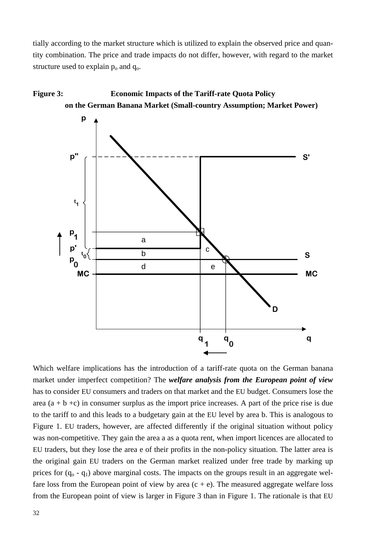tially according to the market structure which is utilized to explain the observed price and quantity combination. The price and trade impacts do not differ, however, with regard to the market structure used to explain  $p_0$  and  $q_0$ .



Which welfare implications has the introduction of a tariff-rate quota on the German banana market under imperfect competition? The *welfare analysis from the European point of view* has to consider EU consumers and traders on that market and the EU budget. Consumers lose the area  $(a + b + c)$  in consumer surplus as the import price increases. A part of the price rise is due to the tariff to and this leads to a budgetary gain at the EU level by area b. This is analogous to Figure 1. EU traders, however, are affected differently if the original situation without policy was non-competitive. They gain the area a as a quota rent, when import licences are allocated to EU traders, but they lose the area e of their profits in the non-policy situation. The latter area is the original gain EU traders on the German market realized under free trade by marking up prices for  $(q_0 - q_1)$  above marginal costs. The impacts on the groups result in an aggregate welfare loss from the European point of view by area  $(c + e)$ . The measured aggregate welfare loss from the European point of view is larger in Figure 3 than in Figure 1. The rationale is that EU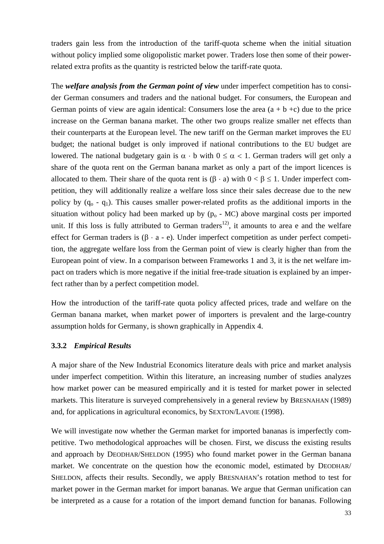traders gain less from the introduction of the tariff-quota scheme when the initial situation without policy implied some oligopolistic market power. Traders lose then some of their powerrelated extra profits as the quantity is restricted below the tariff-rate quota.

The *welfare analysis from the German point of view* under imperfect competition has to consider German consumers and traders and the national budget. For consumers, the European and German points of view are again identical: Consumers lose the area  $(a + b + c)$  due to the price increase on the German banana market. The other two groups realize smaller net effects than their counterparts at the European level. The new tariff on the German market improves the EU budget; the national budget is only improved if national contributions to the EU budget are lowered. The national budgetary gain is  $\alpha \cdot$  b with  $0 \leq \alpha < 1$ . German traders will get only a share of the quota rent on the German banana market as only a part of the import licences is allocated to them. Their share of the quota rent is  $(β · a)$  with  $0 < β \le 1$ . Under imperfect competition, they will additionally realize a welfare loss since their sales decrease due to the new policy by  $(q_0 - q_1)$ . This causes smaller power-related profits as the additional imports in the situation without policy had been marked up by  $(p_0 - MC)$  above marginal costs per imported unit. If this loss is fully attributed to German traders<sup>12</sup>, it amounts to area e and the welfare effect for German traders is  $(\beta \cdot a - e)$ . Under imperfect competition as under perfect competition, the aggregate welfare loss from the German point of view is clearly higher than from the European point of view. In a comparison between Frameworks 1 and 3, it is the net welfare impact on traders which is more negative if the initial free-trade situation is explained by an imperfect rather than by a perfect competition model.

How the introduction of the tariff-rate quota policy affected prices, trade and welfare on the German banana market, when market power of importers is prevalent and the large-country assumption holds for Germany, is shown graphically in Appendix 4.

#### **3.3.2** *Empirical Results*

A major share of the New Industrial Economics literature deals with price and market analysis under imperfect competition. Within this literature, an increasing number of studies analyzes how market power can be measured empirically and it is tested for market power in selected markets. This literature is surveyed comprehensively in a general review by BRESNAHAN (1989) and, for applications in agricultural economics, by SEXTON/LAVOIE (1998).

We will investigate now whether the German market for imported bananas is imperfectly competitive. Two methodological approaches will be chosen. First, we discuss the existing results and approach by DEODHAR/SHELDON (1995) who found market power in the German banana market. We concentrate on the question how the economic model, estimated by DEODHAR/ SHELDON, affects their results. Secondly, we apply BRESNAHAN's rotation method to test for market power in the German market for import bananas. We argue that German unification can be interpreted as a cause for a rotation of the import demand function for bananas. Following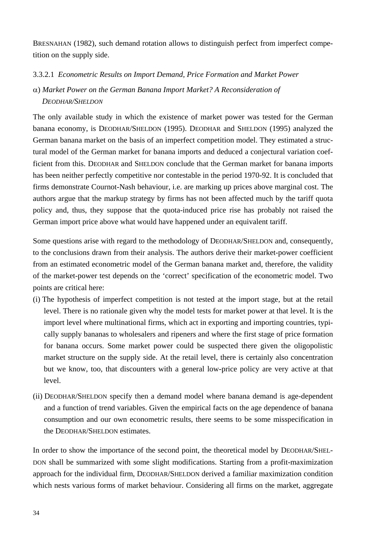BRESNAHAN (1982), such demand rotation allows to distinguish perfect from imperfect competition on the supply side.

### 3.3.2.1 *Econometric Results on Import Demand, Price Formation and Market Power*

## α) *Market Power on the German Banana Import Market? A Reconsideration of DEODHAR/SHELDON*

The only available study in which the existence of market power was tested for the German banana economy, is DEODHAR/SHELDON (1995). DEODHAR and SHELDON (1995) analyzed the German banana market on the basis of an imperfect competition model. They estimated a structural model of the German market for banana imports and deduced a conjectural variation coefficient from this. DEODHAR and SHELDON conclude that the German market for banana imports has been neither perfectly competitive nor contestable in the period 1970-92. It is concluded that firms demonstrate Cournot-Nash behaviour, i.e. are marking up prices above marginal cost. The authors argue that the markup strategy by firms has not been affected much by the tariff quota policy and, thus, they suppose that the quota-induced price rise has probably not raised the German import price above what would have happened under an equivalent tariff.

Some questions arise with regard to the methodology of DEODHAR/SHELDON and, consequently, to the conclusions drawn from their analysis. The authors derive their market-power coefficient from an estimated econometric model of the German banana market and, therefore, the validity of the market-power test depends on the 'correct' specification of the econometric model. Two points are critical here:

- (i) The hypothesis of imperfect competition is not tested at the import stage, but at the retail level. There is no rationale given why the model tests for market power at that level. It is the import level where multinational firms, which act in exporting and importing countries, typically supply bananas to wholesalers and ripeners and where the first stage of price formation for banana occurs. Some market power could be suspected there given the oligopolistic market structure on the supply side. At the retail level, there is certainly also concentration but we know, too, that discounters with a general low-price policy are very active at that level.
- (ii) DEODHAR/SHELDON specify then a demand model where banana demand is age-dependent and a function of trend variables. Given the empirical facts on the age dependence of banana consumption and our own econometric results, there seems to be some misspecification in the DEODHAR/SHELDON estimates.

In order to show the importance of the second point, the theoretical model by DEODHAR/SHEL-DON shall be summarized with some slight modifications. Starting from a profit-maximization approach for the individual firm, DEODHAR/SHELDON derived a familiar maximization condition which nests various forms of market behaviour. Considering all firms on the market, aggregate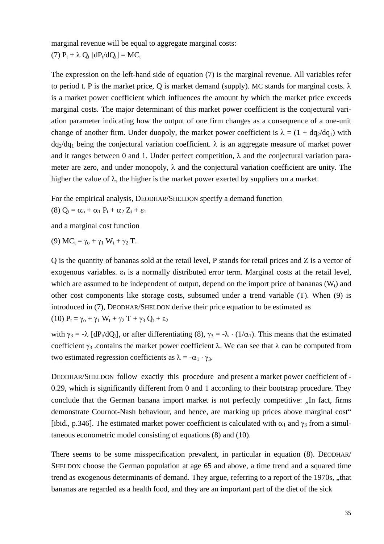marginal revenue will be equal to aggregate marginal costs:

(7)  $P_t + \lambda Q_t [dP_t/dQ_t] = MC_t$ 

The expression on the left-hand side of equation (7) is the marginal revenue. All variables refer to period t. P is the market price, Q is market demand (supply). MC stands for marginal costs.  $\lambda$ is a market power coefficient which influences the amount by which the market price exceeds marginal costs. The major determinant of this market power coefficient is the conjectural variation parameter indicating how the output of one firm changes as a consequence of a one-unit change of another firm. Under duopoly, the market power coefficient is  $\lambda = (1 + dq_2/dq_1)$  with  $dq_2/dq_1$  being the conjectural variation coefficient.  $\lambda$  is an aggregate measure of market power and it ranges between 0 and 1. Under perfect competition,  $\lambda$  and the conjectural variation parameter are zero, and under monopoly,  $\lambda$  and the conjectural variation coefficient are unity. The higher the value of  $\lambda$ , the higher is the market power exerted by suppliers on a market.

For the empirical analysis, DEODHAR/SHELDON specify a demand function

$$
(8)~Q_t=\alpha_o+\alpha_1~P_t+\alpha_2~Z_t+\epsilon_1
$$

and a marginal cost function

(9)  $MC_t = \gamma_0 + \gamma_1 W_t + \gamma_2 T$ .

Q is the quantity of bananas sold at the retail level, P stands for retail prices and Z is a vector of exogenous variables.  $\varepsilon_1$  is a normally distributed error term. Marginal costs at the retail level, which are assumed to be independent of output, depend on the import price of bananas  $(W_t)$  and other cost components like storage costs, subsumed under a trend variable (T). When (9) is introduced in (7), DEODHAR/SHELDON derive their price equation to be estimated as

(10)  $P_t = \gamma_0 + \gamma_1 W_t + \gamma_2 T + \gamma_3 Q_t + \varepsilon_2$ 

with  $\gamma_3 = -\lambda$  [dP<sub>t</sub>/dQ<sub>t</sub>], or after differentiating (8),  $\gamma_3 = -\lambda \cdot (1/\alpha_1)$ . This means that the estimated coefficient  $\gamma_3$  .contains the market power coefficient  $\lambda$ . We can see that  $\lambda$  can be computed from two estimated regression coefficients as  $\lambda = -\alpha_1 \cdot \gamma_3$ .

DEODHAR/SHELDON follow exactly this procedure and present a market power coefficient of - 0.29, which is significantly different from 0 and 1 according to their bootstrap procedure. They conclude that the German banana import market is not perfectly competitive: "In fact, firms" demonstrate Cournot-Nash behaviour, and hence, are marking up prices above marginal cost" [ibid., p.346]. The estimated market power coefficient is calculated with  $\alpha_1$  and  $\gamma_3$  from a simultaneous econometric model consisting of equations (8) and (10).

There seems to be some misspecification prevalent, in particular in equation (8). DEODHAR/ SHELDON choose the German population at age 65 and above, a time trend and a squared time trend as exogenous determinants of demand. They argue, referring to a report of the 1970s, "that bananas are regarded as a health food, and they are an important part of the diet of the sick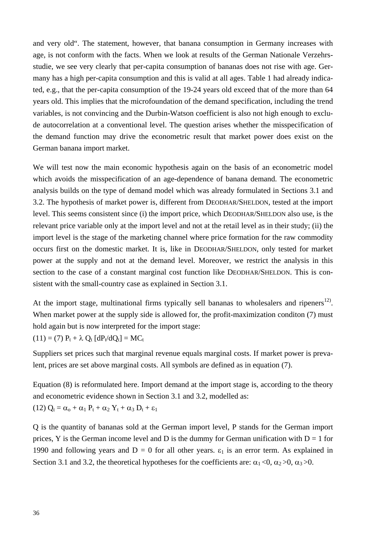and very old". The statement, however, that banana consumption in Germany increases with age, is not conform with the facts. When we look at results of the German Nationale Verzehrsstudie, we see very clearly that per-capita consumption of bananas does not rise with age. Germany has a high per-capita consumption and this is valid at all ages. Table 1 had already indicated, e.g., that the per-capita consumption of the 19-24 years old exceed that of the more than 64 years old. This implies that the microfoundation of the demand specification, including the trend variables, is not convincing and the Durbin-Watson coefficient is also not high enough to exclude autocorrelation at a conventional level. The question arises whether the misspecification of the demand function may drive the econometric result that market power does exist on the German banana import market.

We will test now the main economic hypothesis again on the basis of an econometric model which avoids the misspecification of an age-dependence of banana demand. The econometric analysis builds on the type of demand model which was already formulated in Sections 3.1 and 3.2. The hypothesis of market power is, different from DEODHAR/SHELDON, tested at the import level. This seems consistent since (i) the import price, which DEODHAR/SHELDON also use, is the relevant price variable only at the import level and not at the retail level as in their study; (ii) the import level is the stage of the marketing channel where price formation for the raw commodity occurs first on the domestic market. It is, like in DEODHAR/SHELDON, only tested for market power at the supply and not at the demand level. Moreover, we restrict the analysis in this section to the case of a constant marginal cost function like DEODHAR/SHELDON. This is consistent with the small-country case as explained in Section 3.1.

At the import stage, multinational firms typically sell bananas to wholesalers and ripeners<sup>12)</sup>. When market power at the supply side is allowed for, the profit-maximization condition (7) must hold again but is now interpreted for the import stage:

 $(11) = (7) P_t + \lambda Q_t [dP_t/dQ_t] = MC_t$ 

Suppliers set prices such that marginal revenue equals marginal costs. If market power is prevalent, prices are set above marginal costs. All symbols are defined as in equation (7).

Equation (8) is reformulated here. Import demand at the import stage is, according to the theory and econometric evidence shown in Section 3.1 and 3.2, modelled as: (12)  $Q_t = \alpha_0 + \alpha_1 P_t + \alpha_2 Y_t + \alpha_3 D_t + \varepsilon_1$ 

Q is the quantity of bananas sold at the German import level, P stands for the German import prices, Y is the German income level and D is the dummy for German unification with  $D = 1$  for 1990 and following years and  $D = 0$  for all other years.  $\varepsilon_1$  is an error term. As explained in Section 3.1 and 3.2, the theoretical hypotheses for the coefficients are:  $\alpha_1 < 0$ ,  $\alpha_2 > 0$ ,  $\alpha_3 > 0$ .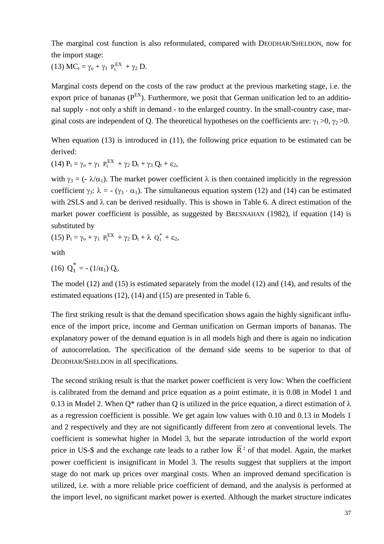The marginal cost function is also reformulated, compared with DEODHAR/SHELDON, now for the import stage:

(13)  $MC_t = \gamma_0 + \gamma_1 P_t^{EX} + \gamma_2 D$ .

Marginal costs depend on the costs of the raw product at the previous marketing stage, i.e. the export price of bananas ( $P^{EX}$ ). Furthermore, we posit that German unification led to an additional supply - not only a shift in demand - to the enlarged country. In the small-country case, marginal costs are independent of Q. The theoretical hypotheses on the coefficients are:  $\gamma_1 > 0$ ,  $\gamma_2 > 0$ .

When equation (13) is introduced in (11), the following price equation to be estimated can be derived:

(14)  $P_t = \gamma_0 + \gamma_1 P_t^{EX} + \gamma_2 D_t + \gamma_3 Q_t + \epsilon_2$ ,

with  $\gamma_3 = (-\lambda/\alpha_1)$ . The market power coefficient  $\lambda$  is then contained implicitly in the regression coefficient  $\gamma_3$ :  $\lambda = -(\gamma_3 \cdot \alpha_1)$ . The simultaneous equation system (12) and (14) can be estimated with 2SLS and λ can be derived residually. This is shown in Table 6. A direct estimation of the market power coefficient is possible, as suggested by BRESNAHAN (1982), if equation (14) is substituted by

(15)  $P_t = \gamma_0 + \gamma_1 P_t^{EX} + \gamma_2 D_t + \lambda Q_t^* + \epsilon_2$ ,

with

(16) 
$$
Q_t^* = -(1/\alpha_1) Q_t
$$
.

The model (12) and (15) is estimated separately from the model (12) and (14), and results of the estimated equations (12), (14) and (15) are presented in Table 6.

The first striking result is that the demand specification shows again the highly significant influence of the import price, income and German unification on German imports of bananas. The explanatory power of the demand equation is in all models high and there is again no indication of autocorrelation. The specification of the demand side seems to be superior to that of DEODHAR/SHELDON in all specifications.

The second striking result is that the market power coefficient is very low: When the coefficient is calibrated from the demand and price equation as a point estimate, it is 0.08 in Model 1 and 0.13 in Model 2. When Q<sup>\*</sup> rather than Q is utilized in the price equation, a direct estimation of  $\lambda$ as a regression coefficient is possible. We get again low values with 0.10 and 0.13 in Models 1 and 2 respectively and they are not significantly different from zero at conventional levels. The coefficient is somewhat higher in Model 3, but the separate introduction of the world export price in US-\$ and the exchange rate leads to a rather low  $\overline{R}^2$  of that model. Again, the market power coefficient is insignificant in Model 3. The results suggest that suppliers at the import stage do not mark up prices over marginal costs. When an improved demand specification is utilized, i.e. with a more reliable price coefficient of demand, and the analysis is performed at the import level, no significant market power is exerted. Although the market structure indicates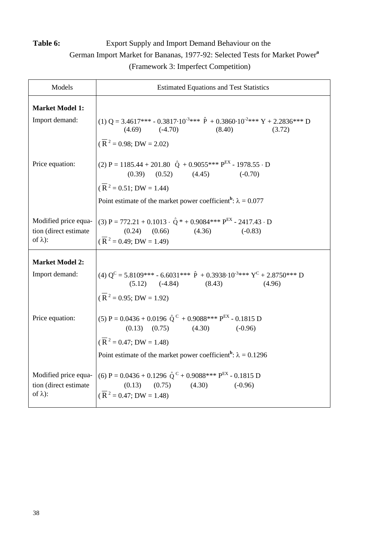## **Table 6:** Export Supply and Import Demand Behaviour on the

German Import Market for Bananas, 1977-92: Selected Tests for Market Power**<sup>a</sup>**

(Framework 3: Imperfect Competition)

| Models                                                           | <b>Estimated Equations and Test Statistics</b>                                                                                                                                  |  |  |
|------------------------------------------------------------------|---------------------------------------------------------------------------------------------------------------------------------------------------------------------------------|--|--|
| <b>Market Model 1:</b>                                           |                                                                                                                                                                                 |  |  |
| Import demand:                                                   | (1) Q = 3.4617*** - 0.3817.10 <sup>-3</sup> *** $\hat{P}$ + 0.3860.10 <sup>-2</sup> *** Y + 2.2836*** D<br>$(4.69)$ $(-4.70)$<br>(8.40)<br>(3.72)                               |  |  |
|                                                                  | $(\overline{R}^2 = 0.98; DW = 2.02)$                                                                                                                                            |  |  |
| Price equation:                                                  | (2) P = 1185.44 + 201.80 $\hat{Q}$ + 0.9055*** P <sup>EX</sup> - 1978.55 · D<br>$(0.39)$ $(0.52)$ $(4.45)$ $(-0.70)$<br>$(\overline{R}^2 = 0.51; DW = 1.44)$                    |  |  |
|                                                                  | Point estimate of the market power coefficient <sup>b</sup> : $\lambda = 0.077$                                                                                                 |  |  |
| Modified price equa-<br>tion (direct estimate<br>of $\lambda$ ): | (3) P = 772.21 + 0.1013 $\cdot$ $\hat{Q}$ * + 0.9084*** P <sup>EX</sup> - 2417.43 $\cdot$ D<br>$(0.24)$ $(0.66)$<br>(4.36)<br>$(-0.83)$<br>$(\overline{R}^2 = 0.49; DW = 1.49)$ |  |  |
| <b>Market Model 2:</b>                                           |                                                                                                                                                                                 |  |  |
| Import demand:                                                   | (4) $Q^C = 5.8109*** - 6.6031*** \hat{P} + 0.3938 \cdot 10^{-3}*** Y^C + 2.8750*** D$<br>(5.12) (-4.84) (8.43) (4.96)                                                           |  |  |
|                                                                  | $(\overline{R}^2 = 0.95; DW = 1.92)$                                                                                                                                            |  |  |
| Price equation:                                                  | (5) P = $0.0436 + 0.0196 \hat{Q}^C + 0.9088*** P^{EX} - 0.1815 D$<br>$(0.13)$ $(0.75)$ $(4.30)$ $(-0.96)$<br>$(\overline{R}^2 = 0.47; DW = 1.48)$                               |  |  |
|                                                                  | Point estimate of the market power coefficient <sup>b</sup> : $\lambda = 0.1296$                                                                                                |  |  |
| Modified price equa-<br>tion (direct estimate<br>of $\lambda$ ): | (6) P = $0.0436 + 0.1296 \hat{Q}^C + 0.9088$ *** P <sup>EX</sup> - 0.1815 D<br>(0.75)<br>(4.30)<br>(0.13)<br>$(-0.96)$<br>$(\overline{R}^2 = 0.47; DW = 1.48)$                  |  |  |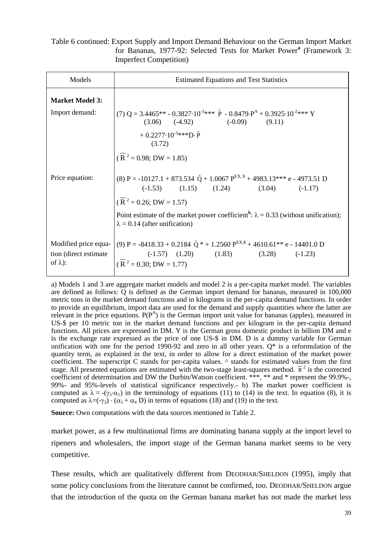#### Table 6 continued: Export Supply and Import Demand Behaviour on the German Import Market for Bananas, 1977-92: Selected Tests for Market Power**<sup>a</sup>** (Framework 3: Imperfect Competition)

| Models                                                            | <b>Estimated Equations and Test Statistics</b>                                                                                                                                        |  |  |
|-------------------------------------------------------------------|---------------------------------------------------------------------------------------------------------------------------------------------------------------------------------------|--|--|
| <b>Market Model 3:</b>                                            |                                                                                                                                                                                       |  |  |
| Import demand:                                                    | $(7)$ Q = 3.4465** - 0.3827.10 <sup>-3</sup> *** $\hat{P}$ - 0.8479. $P^{A}$ + 0.3925.10 <sup>-2</sup> *** Y<br>$(3.06)$ $(-4.92)$ $(-0.09)$ $(9.11)$                                 |  |  |
|                                                                   | $+0.2277 \cdot 10^{-3}$ ***D· $\hat{P}$<br>(3.72)                                                                                                                                     |  |  |
|                                                                   | $(\overline{R}^2 = 0.98; DW = 1.85)$                                                                                                                                                  |  |  |
| Price equation:                                                   | (8) P = -10127.1 + 873.534 $\hat{Q}$ + 1.0067 P <sup>EX, \$</sup> + 4983.13*** e - 4973.51 D<br>$(1.15)$ $(1.15)$ $(1.24)$ $(3.04)$ $(-1.17)$                                         |  |  |
|                                                                   | $(\overline{R}^2 = 0.26; DW = 1.57)$                                                                                                                                                  |  |  |
|                                                                   | Point estimate of the market power coefficient <sup>b</sup> : $\lambda = 0.33$ (without unification);<br>$\lambda = 0.14$ (after unification)                                         |  |  |
| Modified price equa-<br>tion (direct estimate)<br>of $\lambda$ ): | (9) P = -8418.33 + 0.2184 $\hat{Q}$ * + 1.2560 P <sup>EX,\$</sup> + 4610.61** e - 14401.0 D<br>$(-1.57)$ $(1.20)$ $(1.83)$ $(3.28)$ $(-1.23)$<br>$(\overline{R}^2 = 0.30; DW = 1.77)$ |  |  |

a) Models 1 and 3 are aggregate market models and model 2 is a per-capita market model. The variables are defined as follows: Q is defined as the German import demand for bananas, measured in 100,000 metric tons in the market demand functions and in kilograms in the per-capita demand functions. In order to provide an equilibrium, import data are used for the demand and supply quantities where the latter are relevant in the price equations.  $P(P^A)$  is the German import unit value for bananas (apples), measured in US-\$ per 10 metric ton in the market demand functions and per kilogram in the per-capita demand functions. All prices are expressed in DM. Y is the German gross domestic product in billion DM and e is the exchange rate expressed as the price of one US-\$ in DM. D is a dummy variable for German unification with one for the period 1990-92 and zero in all other years.  $Q^*$  is a reformulation of the quantity term, as explained in the text, in order to allow for a direct estimation of the market power coefficient. The superscript C stands for per-capita values. ^ stands for estimated values from the first stage. All presented equations are estimated with the two-stage least-squares method.  $\bar{R}^2$  is the corrected coefficient of determination and DW the Durbin/Watson coefficient. \*\*\*, \*\* and \* represent the 99.9%-, 99%- and 95%-levels of statistical significance respectively.- b) The market power coefficient is computed as  $\lambda = -(\gamma_3 \cdot \alpha_1)$  in the terminology of equations (11) to (14) in the text. In equation (8), it is computed as  $\lambda = (-\gamma_3) \cdot (\alpha_1 + \alpha_4)$  in terms of equations (18) and (19) in the text.

**Source:** Own computations with the data sources mentioned in Table 2.

market power, as a few multinational firms are dominating banana supply at the import level to ripeners and wholesalers, the import stage of the German banana market seems to be very competitive.

These results, which are qualitatively different from DEODHAR/SHELDON (1995), imply that some policy conclusions from the literature cannot be confirmed, too. DEODHAR/SHELDON argue that the introduction of the quota on the German banana market has not made the market less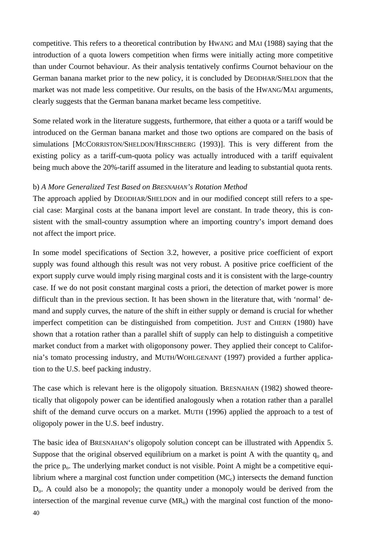competitive. This refers to a theoretical contribution by HWANG and MAI (1988) saying that the introduction of a quota lowers competition when firms were initially acting more competitive than under Cournot behaviour. As their analysis tentatively confirms Cournot behaviour on the German banana market prior to the new policy, it is concluded by DEODHAR/SHELDON that the market was not made less competitive. Our results, on the basis of the HWANG/MAI arguments, clearly suggests that the German banana market became less competitive.

Some related work in the literature suggests, furthermore, that either a quota or a tariff would be introduced on the German banana market and those two options are compared on the basis of simulations [MCCORRISTON/SHELDON/HIRSCHBERG (1993)]. This is very different from the existing policy as a tariff-cum-quota policy was actually introduced with a tariff equivalent being much above the 20%-tariff assumed in the literature and leading to substantial quota rents.

#### b) *A More Generalized Test Based on BRESNAHAN's Rotation Method*

The approach applied by DEODHAR/SHELDON and in our modified concept still refers to a special case: Marginal costs at the banana import level are constant. In trade theory, this is consistent with the small-country assumption where an importing country's import demand does not affect the import price.

In some model specifications of Section 3.2, however, a positive price coefficient of export supply was found although this result was not very robust. A positive price coefficient of the export supply curve would imply rising marginal costs and it is consistent with the large-country case. If we do not posit constant marginal costs a priori, the detection of market power is more difficult than in the previous section. It has been shown in the literature that, with 'normal' demand and supply curves, the nature of the shift in either supply or demand is crucial for whether imperfect competition can be distinguished from competition. JUST and CHERN (1980) have shown that a rotation rather than a parallel shift of supply can help to distinguish a competitive market conduct from a market with oligoponsony power. They applied their concept to California's tomato processing industry, and MUTH/WOHLGENANT (1997) provided a further application to the U.S. beef packing industry.

The case which is relevant here is the oligopoly situation. BRESNAHAN (1982) showed theoretically that oligopoly power can be identified analogously when a rotation rather than a parallel shift of the demand curve occurs on a market. MUTH (1996) applied the approach to a test of oligopoly power in the U.S. beef industry.

The basic idea of BRESNAHAN's oligopoly solution concept can be illustrated with Appendix 5. Suppose that the original observed equilibrium on a market is point A with the quantity  $q_0$  and the price  $p_0$ . The underlying market conduct is not visible. Point A might be a competitive equilibrium where a marginal cost function under competition  $(MC<sub>c</sub>)$  intersects the demand function D<sub>0</sub>. A could also be a monopoly; the quantity under a monopoly would be derived from the intersection of the marginal revenue curve  $(MR_0)$  with the marginal cost function of the mono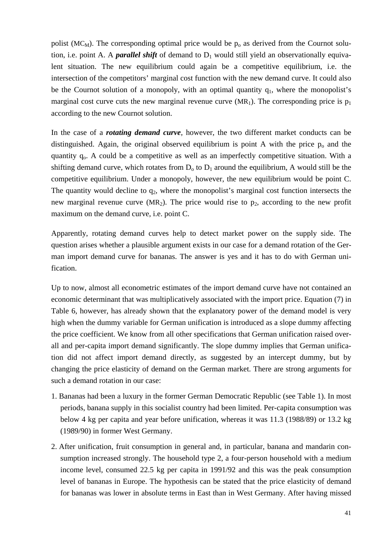polist (MC<sub>M</sub>). The corresponding optimal price would be  $p_0$  as derived from the Cournot solution, i.e. point A. A *parallel shift* of demand to  $D_1$  would still yield an observationally equivalent situation. The new equilibrium could again be a competitive equilibrium, i.e. the intersection of the competitors' marginal cost function with the new demand curve. It could also be the Cournot solution of a monopoly, with an optimal quantity  $q_1$ , where the monopolist's marginal cost curve cuts the new marginal revenue curve ( $MR_1$ ). The corresponding price is  $p_1$ according to the new Cournot solution.

In the case of a *rotating demand curve*, however, the two different market conducts can be distinguished. Again, the original observed equilibrium is point A with the price  $p_0$  and the quantity q<sub>o</sub>. A could be a competitive as well as an imperfectly competitive situation. With a shifting demand curve, which rotates from  $D_0$  to  $D_1$  around the equilibrium, A would still be the competitive equilibrium. Under a monopoly, however, the new equilibrium would be point C. The quantity would decline to  $q_2$ , where the monopolist's marginal cost function intersects the new marginal revenue curve  $(MR_2)$ . The price would rise to  $p_2$ , according to the new profit maximum on the demand curve, i.e. point C.

Apparently, rotating demand curves help to detect market power on the supply side. The question arises whether a plausible argument exists in our case for a demand rotation of the German import demand curve for bananas. The answer is yes and it has to do with German unification.

Up to now, almost all econometric estimates of the import demand curve have not contained an economic determinant that was multiplicatively associated with the import price. Equation (7) in Table 6, however, has already shown that the explanatory power of the demand model is very high when the dummy variable for German unification is introduced as a slope dummy affecting the price coefficient. We know from all other specifications that German unification raised overall and per-capita import demand significantly. The slope dummy implies that German unification did not affect import demand directly, as suggested by an intercept dummy, but by changing the price elasticity of demand on the German market. There are strong arguments for such a demand rotation in our case:

- 1. Bananas had been a luxury in the former German Democratic Republic (see Table 1). In most periods, banana supply in this socialist country had been limited. Per-capita consumption was below 4 kg per capita and year before unification, whereas it was 11.3 (1988/89) or 13.2 kg (1989/90) in former West Germany.
- 2. After unification, fruit consumption in general and, in particular, banana and mandarin consumption increased strongly. The household type 2, a four-person household with a medium income level, consumed 22.5 kg per capita in 1991/92 and this was the peak consumption level of bananas in Europe. The hypothesis can be stated that the price elasticity of demand for bananas was lower in absolute terms in East than in West Germany. After having missed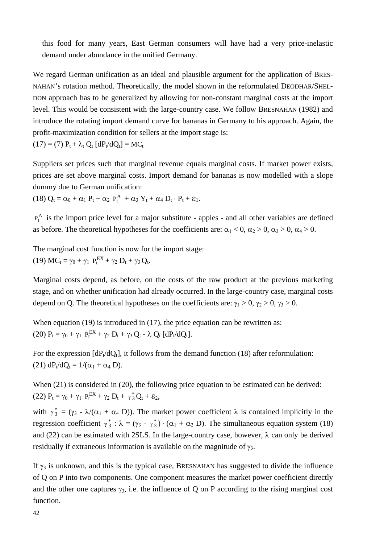this food for many years, East German consumers will have had a very price-inelastic demand under abundance in the unified Germany.

We regard German unification as an ideal and plausible argument for the application of BRES-NAHAN's rotation method. Theoretically, the model shown in the reformulated DEODHAR/SHEL-DON approach has to be generalized by allowing for non-constant marginal costs at the import level. This would be consistent with the large-country case. We follow BRESNAHAN (1982) and introduce the rotating import demand curve for bananas in Germany to his approach. Again, the profit-maximization condition for sellers at the import stage is:  $(17) = (7) P_t + \lambda_t Q_t [dP_t/dQ_t] = MC_t$ 

Suppliers set prices such that marginal revenue equals marginal costs. If market power exists, prices are set above marginal costs. Import demand for bananas is now modelled with a slope dummy due to German unification:

(18)  $Q_t = \alpha_0 + \alpha_1 P_t + \alpha_2 P_t^A + \alpha_3 Y_t + \alpha_4 D_t \cdot P_t + \varepsilon_1$ .

 $P_t^A$  is the import price level for a major substitute - apples - and all other variables are defined as before. The theoretical hypotheses for the coefficients are:  $\alpha_1 < 0$ ,  $\alpha_2 > 0$ ,  $\alpha_3 > 0$ ,  $\alpha_4 > 0$ .

The marginal cost function is now for the import stage: (19)  $MC_t = \gamma_0 + \gamma_1 P_t^{EX} + \gamma_2 D_t + \gamma_3 Q_t$ .

Marginal costs depend, as before, on the costs of the raw product at the previous marketing stage, and on whether unification had already occurred. In the large-country case, marginal costs depend on Q. The theoretical hypotheses on the coefficients are:  $\gamma_1 > 0$ ,  $\gamma_2 > 0$ ,  $\gamma_3 > 0$ .

When equation (19) is introduced in (17), the price equation can be rewritten as: (20)  $P_t = \gamma_0 + \gamma_1 P_t^{EX} + \gamma_2 D_t + \gamma_3 Q_t - \lambda Q_t [dP_t/dQ_t].$ 

For the expression  $[dP_t/dQ_t]$ , it follows from the demand function (18) after reformulation: (21)  $dP_t/dQ_t = 1/(\alpha_1 + \alpha_4 D)$ .

When  $(21)$  is considered in  $(20)$ , the following price equation to be estimated can be derived: (22)  $P_t = \gamma_0 + \gamma_1 P_t^{EX} + \gamma_2 D_t + \gamma_3^* Q_t + \varepsilon_2$ ,

with  $\gamma_3^* = (\gamma_3 - \lambda/(\alpha_1 + \alpha_4)$  D). The market power coefficient  $\lambda$  is contained implicitly in the regression coefficient  $\gamma_3^*$ :  $\lambda = (\gamma_3 - \gamma_3^*) \cdot (\alpha_1 + \alpha_2)$  D). The simultaneous equation system (18) and (22) can be estimated with 2SLS. In the large-country case, however,  $\lambda$  can only be derived residually if extraneous information is available on the magnitude of  $\gamma_3$ .

If  $\gamma_3$  is unknown, and this is the typical case, BRESNAHAN has suggested to divide the influence of Q on P into two components. One component measures the market power coefficient directly and the other one captures  $\gamma_3$ , i.e. the influence of Q on P according to the rising marginal cost function.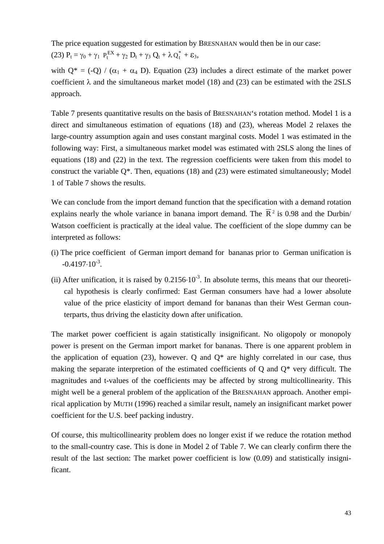The price equation suggested for estimation by BRESNAHAN would then be in our case:

(23)  $P_t = \gamma_0 + \gamma_1 P_t^{EX} + \gamma_2 D_t + \gamma_3 Q_t + \lambda Q_t^* + \varepsilon_3$ ,

with  $Q^* = (-Q) / (\alpha_1 + \alpha_4)$  D. Equation (23) includes a direct estimate of the market power coefficient  $\lambda$  and the simultaneous market model (18) and (23) can be estimated with the 2SLS approach.

Table 7 presents quantitative results on the basis of BRESNAHAN's rotation method. Model 1 is a direct and simultaneous estimation of equations (18) and (23), whereas Model 2 relaxes the large-country assumption again and uses constant marginal costs. Model 1 was estimated in the following way: First, a simultaneous market model was estimated with 2SLS along the lines of equations (18) and (22) in the text. The regression coefficients were taken from this model to construct the variable  $Q^*$ . Then, equations (18) and (23) were estimated simultaneously; Model 1 of Table 7 shows the results.

We can conclude from the import demand function that the specification with a demand rotation explains nearly the whole variance in banana import demand. The  $\overline{R}^2$  is 0.98 and the Durbin/ Watson coefficient is practically at the ideal value. The coefficient of the slope dummy can be interpreted as follows:

- (i) The price coefficient of German import demand for bananas prior to German unification is  $-0.4197 \cdot 10^{-3}$ .
- (ii) After unification, it is raised by  $0.2156 \cdot 10^{-3}$ . In absolute terms, this means that our theoretical hypothesis is clearly confirmed: East German consumers have had a lower absolute value of the price elasticity of import demand for bananas than their West German counterparts, thus driving the elasticity down after unification.

The market power coefficient is again statistically insignificant. No oligopoly or monopoly power is present on the German import market for bananas. There is one apparent problem in the application of equation (23), however. O and  $O^*$  are highly correlated in our case, thus making the separate interpretion of the estimated coefficients of Q and Q\* very difficult. The magnitudes and t-values of the coefficients may be affected by strong multicollinearity. This might well be a general problem of the application of the BRESNAHAN approach. Another empirical application by MUTH (1996) reached a similar result, namely an insignificant market power coefficient for the U.S. beef packing industry.

Of course, this multicollinearity problem does no longer exist if we reduce the rotation method to the small-country case. This is done in Model 2 of Table 7. We can clearly confirm there the result of the last section: The market power coefficient is low (0.09) and statistically insignificant.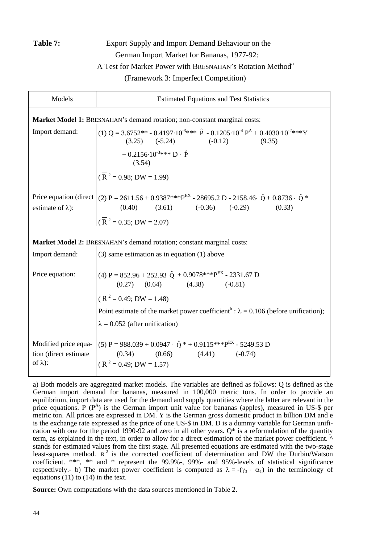## **Table 7:** Export Supply and Import Demand Behaviour on the German Import Market for Bananas, 1977-92: A Test for Market Power with BRESNAHAN's Rotation Method**<sup>a</sup>** (Framework 3: Imperfect Competition)

| Models                                                                    | <b>Estimated Equations and Test Statistics</b>                                                                                                                                                                                                                                                 |  |  |  |
|---------------------------------------------------------------------------|------------------------------------------------------------------------------------------------------------------------------------------------------------------------------------------------------------------------------------------------------------------------------------------------|--|--|--|
| Market Model 1: BRESNAHAN's demand rotation; non-constant marginal costs: |                                                                                                                                                                                                                                                                                                |  |  |  |
| Import demand:                                                            | (1) Q = 3.6752** - 0.4197 $\cdot 10^{-3}$ *** $\hat{P}$ - 0.1205 $\cdot 10^{-4} P^A$ + 0.4030 $\cdot 10^{-2}$ ***Y<br>$(3.25)$ $(-5.24)$ $(-0.12)$<br>(9.35)                                                                                                                                   |  |  |  |
|                                                                           | $+ 0.2156 \cdot 10^{-3}$ *** D · P<br>(3.54)                                                                                                                                                                                                                                                   |  |  |  |
|                                                                           | $(\overline{R}^2 = 0.98; DW = 1.99)$                                                                                                                                                                                                                                                           |  |  |  |
| estimate of $\lambda$ ):                                                  | Price equation (direct $(2)$ P = 2611.56 + 0.9387***P <sup>EX</sup> - 28695.2 D - 2158.46 $\hat{Q}$ + 0.8736 $\cdot$ $\hat{Q}$ *<br>$(0.40)$ $(3.61)$ $(-0.36)$ $(-0.29)$ $(0.33)$<br>$\overline{R}^2 = 0.35; DW = 2.07$                                                                       |  |  |  |
|                                                                           |                                                                                                                                                                                                                                                                                                |  |  |  |
| Import demand:                                                            | Market Model 2: BRESNAHAN's demand rotation; constant marginal costs:<br>$(3)$ same estimation as in equation $(1)$ above                                                                                                                                                                      |  |  |  |
| Price equation:                                                           | (4) P = $852.96 + 252.93 \hat{Q} + 0.9078***PEX - 2331.67 D$<br>$(0.27)$ $(0.64)$ $(4.38)$ $(-0.81)$<br>$(\overline{R}^2 = 0.49; DW = 1.48)$<br>Point estimate of the market power coefficient <sup>b</sup> : $\lambda = 0.106$ (before unification);<br>$\lambda = 0.052$ (after unification) |  |  |  |
| Modified price equa-<br>tion (direct estimate)<br>of $\lambda$ ):         | $(5)$ P = 988.039 + 0.0947 $\cdot$ Q <sup>*</sup> + 0.9115***P <sup>EX</sup> - 5249.53 D<br>$(0.34)$ $(0.66)$ $(4.41)$ $(-0.74)$<br>$(\overline{R}^2 = 0.49; DW = 1.57)$                                                                                                                       |  |  |  |

a) Both models are aggregated market models. The variables are defined as follows: Q is defined as the German import demand for bananas, measured in 100,000 metric tons. In order to provide an equilibrium, import data are used for the demand and supply quantities where the latter are relevant in the price equations. P  $(P^A)$  is the German import unit value for bananas (apples), measured in US-\$ per metric ton. All prices are expressed in DM. Y is the German gross domestic product in billion DM and e is the exchange rate expressed as the price of one US-\$ in DM. D is a dummy variable for German unification with one for the period 1990-92 and zero in all other years.  $Q^*$  is a reformulation of the quantity term, as explained in the text, in order to allow for a direct estimation of the market power coefficient. ^ stands for estimated values from the first stage. All presented equations are estimated with the two-stage least-squares method.  $\bar{R}^2$  is the corrected coefficient of determination and DW the Durbin/Watson coefficient. \*\*\*, \*\* and \* represent the 99.9%-, 99%- and 95%-levels of statistical significance respectively.- b) The market power coefficient is computed as  $\lambda = -(\gamma_3 \cdot \alpha_1)$  in the terminology of equations  $(11)$  to  $(14)$  in the text.

**Source:** Own computations with the data sources mentioned in Table 2.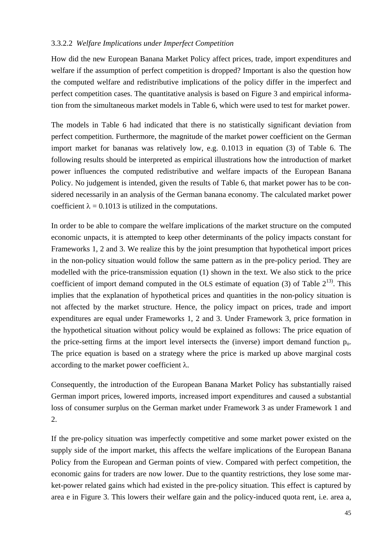#### 3.3.2.2 *Welfare Implications under Imperfect Competition*

How did the new European Banana Market Policy affect prices, trade, import expenditures and welfare if the assumption of perfect competition is dropped? Important is also the question how the computed welfare and redistributive implications of the policy differ in the imperfect and perfect competition cases. The quantitative analysis is based on Figure 3 and empirical information from the simultaneous market models in Table 6, which were used to test for market power.

The models in Table 6 had indicated that there is no statistically significant deviation from perfect competition. Furthermore, the magnitude of the market power coefficient on the German import market for bananas was relatively low, e.g. 0.1013 in equation (3) of Table 6. The following results should be interpreted as empirical illustrations how the introduction of market power influences the computed redistributive and welfare impacts of the European Banana Policy. No judgement is intended, given the results of Table 6, that market power has to be considered necessarily in an analysis of the German banana economy. The calculated market power coefficient  $\lambda = 0.1013$  is utilized in the computations.

In order to be able to compare the welfare implications of the market structure on the computed economic unpacts, it is attempted to keep other determinants of the policy impacts constant for Frameworks 1, 2 and 3. We realize this by the joint presumption that hypothetical import prices in the non-policy situation would follow the same pattern as in the pre-policy period. They are modelled with the price-transmission equation (1) shown in the text. We also stick to the price coefficient of import demand computed in the OLS estimate of equation (3) of Table  $2^{13}$ . This implies that the explanation of hypothetical prices and quantities in the non-policy situation is not affected by the market structure. Hence, the policy impact on prices, trade and import expenditures are equal under Frameworks 1, 2 and 3. Under Framework 3, price formation in the hypothetical situation without policy would be explained as follows: The price equation of the price-setting firms at the import level intersects the (inverse) import demand function po. The price equation is based on a strategy where the price is marked up above marginal costs according to the market power coefficient  $\lambda$ .

Consequently, the introduction of the European Banana Market Policy has substantially raised German import prices, lowered imports, increased import expenditures and caused a substantial loss of consumer surplus on the German market under Framework 3 as under Framework 1 and 2.

If the pre-policy situation was imperfectly competitive and some market power existed on the supply side of the import market, this affects the welfare implications of the European Banana Policy from the European and German points of view. Compared with perfect competition, the economic gains for traders are now lower. Due to the quantity restrictions, they lose some market-power related gains which had existed in the pre-policy situation. This effect is captured by area e in Figure 3. This lowers their welfare gain and the policy-induced quota rent, i.e. area a,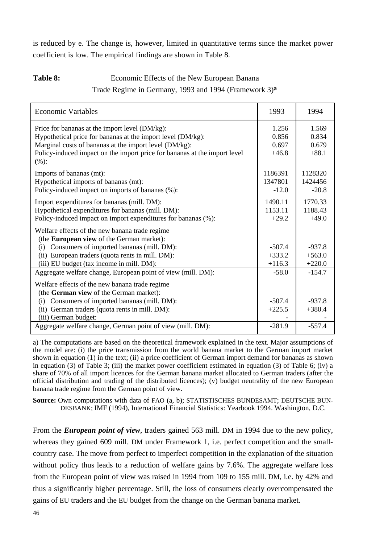is reduced by e. The change is, however, limited in quantitative terms since the market power coefficient is low. The empirical findings are shown in Table 8.

## **Table 8:** Economic Effects of the New European Banana Trade Regime in Germany, 1993 and 1994 (Framework 3)**a**

| <b>Economic Variables</b>                                                         | 1993     | 1994     |
|-----------------------------------------------------------------------------------|----------|----------|
| Price for bananas at the import level (DM/kg):                                    | 1.256    | 1.569    |
| Hypothetical price for bananas at the import level (DM/kg):                       | 0.856    | 0.834    |
| Marginal costs of bananas at the import level (DM/kg):                            | 0.697    | 0.679    |
| Policy-induced impact on the import price for bananas at the import level<br>(%): | $+46.8$  | $+88.1$  |
| Imports of bananas (mt):                                                          | 1186391  | 1128320  |
| Hypothetical imports of bananas (mt):                                             | 1347801  | 1424456  |
| Policy-induced impact on imports of bananas (%):                                  | $-12.0$  | $-20.8$  |
| Import expenditures for bananas (mill. DM):                                       | 1490.11  | 1770.33  |
| Hypothetical expenditures for bananas (mill. DM):                                 | 1153.11  | 1188.43  |
| Policy-induced impact on import expenditures for bananas (%):                     | $+29.2$  | $+49.0$  |
| Welfare effects of the new banana trade regime                                    |          |          |
| (the European view of the German market):                                         |          |          |
| Consumers of imported bananas (mill. DM):<br>(i)                                  | $-507.4$ | $-937.8$ |
| (ii) European traders (quota rents in mill. DM):                                  | $+333.2$ | $+563.0$ |
| (iii) EU budget (tax income in mill. DM):                                         | $+116.3$ | $+220.0$ |
| Aggregate welfare change, European point of view (mill. DM):                      | $-58.0$  | $-154.7$ |
| Welfare effects of the new banana trade regime                                    |          |          |
| (the German view of the German market):                                           |          |          |
| Consumers of imported bananas (mill. DM):<br>(i)                                  | $-507.4$ | $-937.8$ |
| (ii) German traders (quota rents in mill. DM):                                    | $+225.5$ | $+380.4$ |
| (iii) German budget:                                                              |          |          |
| Aggregate welfare change, German point of view (mill. DM):                        | $-281.9$ | $-557.4$ |

a) The computations are based on the theoretical framework explained in the text. Major assumptions of the model are: (i) the price transmission from the world banana market to the German import market shown in equation (1) in the text; (ii) a price coefficient of German import demand for bananas as shown in equation (3) of Table 3; (iii) the market power coefficient estimated in equation (3) of Table 6; (iv) a share of 70% of all import licences for the German banana market allocated to German traders (after the official distribution and trading of the distributed licences); (v) budget neutrality of the new European banana trade regime from the German point of view.

**Source:** Own computations with data of FAO (a, b); STATISTISCHES BUNDESAMT; DEUTSCHE BUN-DESBANK; IMF (1994), International Financial Statistics: Yearbook 1994. Washington, D.C.

From the *European point of view*, traders gained 563 mill. DM in 1994 due to the new policy, whereas they gained 609 mill. DM under Framework 1, i.e. perfect competition and the smallcountry case. The move from perfect to imperfect competition in the explanation of the situation without policy thus leads to a reduction of welfare gains by 7.6%. The aggregate welfare loss from the European point of view was raised in 1994 from 109 to 155 mill. DM, i.e. by 42% and thus a significantly higher percentage. Still, the loss of consumers clearly overcompensated the gains of EU traders and the EU budget from the change on the German banana market.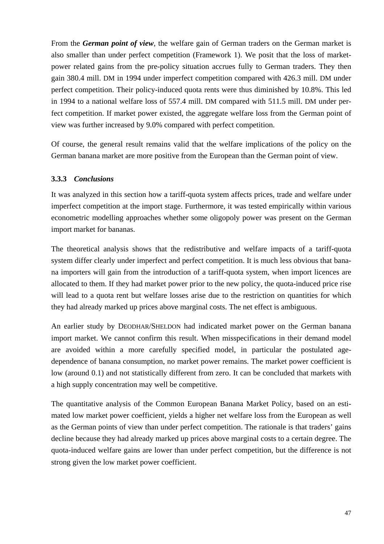From the *German point of view*, the welfare gain of German traders on the German market is also smaller than under perfect competition (Framework 1). We posit that the loss of marketpower related gains from the pre-policy situation accrues fully to German traders. They then gain 380.4 mill. DM in 1994 under imperfect competition compared with 426.3 mill. DM under perfect competition. Their policy-induced quota rents were thus diminished by 10.8%. This led in 1994 to a national welfare loss of 557.4 mill. DM compared with 511.5 mill. DM under perfect competition. If market power existed, the aggregate welfare loss from the German point of view was further increased by 9.0% compared with perfect competition.

Of course, the general result remains valid that the welfare implications of the policy on the German banana market are more positive from the European than the German point of view.

### **3.3.3** *Conclusions*

It was analyzed in this section how a tariff-quota system affects prices, trade and welfare under imperfect competition at the import stage. Furthermore, it was tested empirically within various econometric modelling approaches whether some oligopoly power was present on the German import market for bananas.

The theoretical analysis shows that the redistributive and welfare impacts of a tariff-quota system differ clearly under imperfect and perfect competition. It is much less obvious that banana importers will gain from the introduction of a tariff-quota system, when import licences are allocated to them. If they had market power prior to the new policy, the quota-induced price rise will lead to a quota rent but welfare losses arise due to the restriction on quantities for which they had already marked up prices above marginal costs. The net effect is ambiguous.

An earlier study by DEODHAR/SHELDON had indicated market power on the German banana import market. We cannot confirm this result. When misspecifications in their demand model are avoided within a more carefully specified model, in particular the postulated agedependence of banana consumption, no market power remains. The market power coefficient is low (around 0.1) and not statistically different from zero. It can be concluded that markets with a high supply concentration may well be competitive.

The quantitative analysis of the Common European Banana Market Policy, based on an estimated low market power coefficient, yields a higher net welfare loss from the European as well as the German points of view than under perfect competition. The rationale is that traders' gains decline because they had already marked up prices above marginal costs to a certain degree. The quota-induced welfare gains are lower than under perfect competition, but the difference is not strong given the low market power coefficient.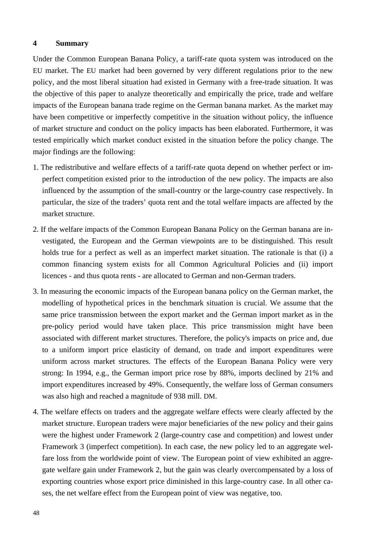#### **4 Summary**

Under the Common European Banana Policy, a tariff-rate quota system was introduced on the EU market. The EU market had been governed by very different regulations prior to the new policy, and the most liberal situation had existed in Germany with a free-trade situation. It was the objective of this paper to analyze theoretically and empirically the price, trade and welfare impacts of the European banana trade regime on the German banana market. As the market may have been competitive or imperfectly competitive in the situation without policy, the influence of market structure and conduct on the policy impacts has been elaborated. Furthermore, it was tested empirically which market conduct existed in the situation before the policy change. The major findings are the following:

- 1. The redistributive and welfare effects of a tariff-rate quota depend on whether perfect or imperfect competition existed prior to the introduction of the new policy. The impacts are also influenced by the assumption of the small-country or the large-country case respectively. In particular, the size of the traders' quota rent and the total welfare impacts are affected by the market structure.
- 2. If the welfare impacts of the Common European Banana Policy on the German banana are investigated, the European and the German viewpoints are to be distinguished. This result holds true for a perfect as well as an imperfect market situation. The rationale is that (i) a common financing system exists for all Common Agricultural Policies and (ii) import licences - and thus quota rents - are allocated to German and non-German traders.
- 3. In measuring the economic impacts of the European banana policy on the German market, the modelling of hypothetical prices in the benchmark situation is crucial. We assume that the same price transmission between the export market and the German import market as in the pre-policy period would have taken place. This price transmission might have been associated with different market structures. Therefore, the policy's impacts on price and, due to a uniform import price elasticity of demand, on trade and import expenditures were uniform across market structures. The effects of the European Banana Policy were very strong: In 1994, e.g., the German import price rose by 88%, imports declined by 21% and import expenditures increased by 49%. Consequently, the welfare loss of German consumers was also high and reached a magnitude of 938 mill. DM.
- 4. The welfare effects on traders and the aggregate welfare effects were clearly affected by the market structure. European traders were major beneficiaries of the new policy and their gains were the highest under Framework 2 (large-country case and competition) and lowest under Framework 3 (imperfect competition). In each case, the new policy led to an aggregate welfare loss from the worldwide point of view. The European point of view exhibited an aggregate welfare gain under Framework 2, but the gain was clearly overcompensated by a loss of exporting countries whose export price diminished in this large-country case. In all other cases, the net welfare effect from the European point of view was negative, too.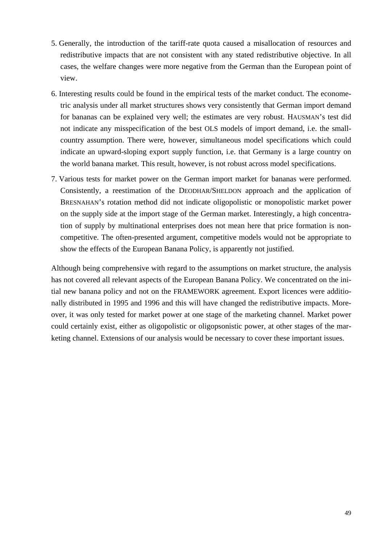- 5. Generally, the introduction of the tariff-rate quota caused a misallocation of resources and redistributive impacts that are not consistent with any stated redistributive objective. In all cases, the welfare changes were more negative from the German than the European point of view.
- 6. Interesting results could be found in the empirical tests of the market conduct. The econometric analysis under all market structures shows very consistently that German import demand for bananas can be explained very well; the estimates are very robust. HAUSMAN's test did not indicate any misspecification of the best OLS models of import demand, i.e. the smallcountry assumption. There were, however, simultaneous model specifications which could indicate an upward-sloping export supply function, i.e. that Germany is a large country on the world banana market. This result, however, is not robust across model specifications.
- 7. Various tests for market power on the German import market for bananas were performed. Consistently, a reestimation of the DEODHAR/SHELDON approach and the application of BRESNAHAN's rotation method did not indicate oligopolistic or monopolistic market power on the supply side at the import stage of the German market. Interestingly, a high concentration of supply by multinational enterprises does not mean here that price formation is noncompetitive. The often-presented argument, competitive models would not be appropriate to show the effects of the European Banana Policy, is apparently not justified.

Although being comprehensive with regard to the assumptions on market structure, the analysis has not covered all relevant aspects of the European Banana Policy. We concentrated on the initial new banana policy and not on the FRAMEWORK agreement. Export licences were additionally distributed in 1995 and 1996 and this will have changed the redistributive impacts. Moreover, it was only tested for market power at one stage of the marketing channel. Market power could certainly exist, either as oligopolistic or oligopsonistic power, at other stages of the marketing channel. Extensions of our analysis would be necessary to cover these important issues.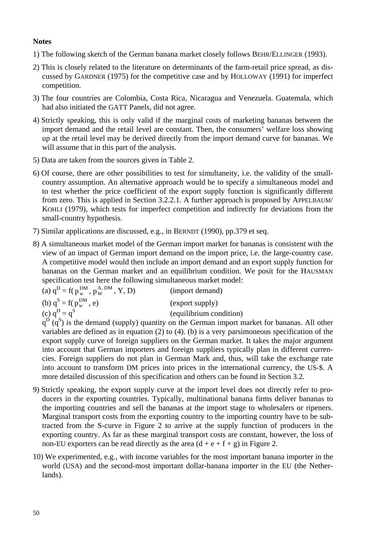### **Notes**

- 1) The following sketch of the German banana market closely follows BEHR/ELLINGER (1993).
- 2) This is closely related to the literature on determinants of the farm-retail price spread, as discussed by GARDNER (1975) for the competitive case and by HOLLOWAY (1991) for imperfect competition.
- 3) The four countries are Colombia, Costa Rica, Nicaragua and Venezuela. Guatemala, which had also initiated the GATT Panels, did not agree.
- 4) Strictly speaking, this is only valid if the marginal costs of marketing bananas between the import demand and the retail level are constant. Then, the consumers' welfare loss showing up at the retail level may be derived directly from the import demand curve for bananas. We will assume that in this part of the analysis.
- 5) Data are taken from the sources given in Table 2.
- 6) Of course, there are other possibilities to test for simultaneity, i.e. the validity of the smallcountry assumption. An alternative approach would be to specify a simultaneous model and to test whether the price coefficient of the export supply function is significantly different from zero. This is applied in Section 3.2.2.1. A further approach is proposed by APPELBAUM/ KOHLI (1979), which tests for imperfect competition and indirectly for deviations from the small-country hypothesis.
- 7) Similar applications are discussed, e.g., in BERNDT (1990), pp.379 et seq.
- 8) A simultaneous market model of the German import market for bananas is consistent with the view of an impact of German import demand on the import price, i.e. the large-country case. A competitive model would then include an import demand and an export supply function for bananas on the German market and an equilibrium condition. We posit for the HAUSMAN specification test here the following simultaneous market model:

(a) 
$$
q^D = f(p_w^{DM}, p_W^{A,DM}, Y, D)
$$
 (important)  
\n(b)  $q^S = f(p_w^{DM}, e)$  (export supply)  
\n(c)  $q^D = q^S$  (equilibrium condition)

 $q^D$   $(q^S)$  is the demand (supply) quantity on the German import market for bananas. All other variables are defined as in equation (2) to (4). (b) is a very parsimoneous specification of the export supply curve of foreign suppliers on the German market. It takes the major argument into account that German importers and foreign suppliers typically plan in different currencies. Foreign suppliers do not plan in German Mark and, thus, will take the exchange rate into account to transform DM prices into prices in the international currency, the US-\$. A more detailed discussion of this specification and others can be found in Section 3.2.

- 9) Strictly speaking, the export supply curve at the import level does not directly refer to producers in the exporting countries. Typically, multinational banana firms deliver bananas to the importing countries and sell the bananas at the import stage to wholesalers or ripeners. Marginal transport costs from the exporting country to the importing country have to be subtracted from the S-curve in Figure 2 to arrive at the supply function of producers in the exporting country. As far as these marginal transport costs are constant, however, the loss of non-EU exporters can be read directly as the area  $(d + e + f + g)$  in Figure 2.
- 10) We experimented, e.g., with income variables for the most important banana importer in the world (USA) and the second-most important dollar-banana importer in the EU (the Netherlands).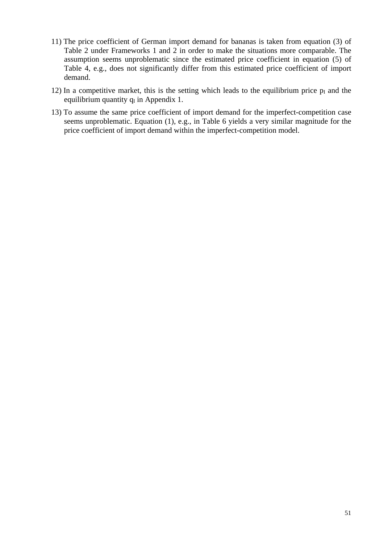- 11) The price coefficient of German import demand for bananas is taken from equation (3) of Table 2 under Frameworks 1 and 2 in order to make the situations more comparable. The assumption seems unproblematic since the estimated price coefficient in equation (5) of Table 4, e.g., does not significantly differ from this estimated price coefficient of import demand.
- 12) In a competitive market, this is the setting which leads to the equilibrium price  $p_I$  and the equilibrium quantity  $q_I$  in Appendix 1.
- 13) To assume the same price coefficient of import demand for the imperfect-competition case seems unproblematic. Equation (1), e.g., in Table 6 yields a very similar magnitude for the price coefficient of import demand within the imperfect-competition model.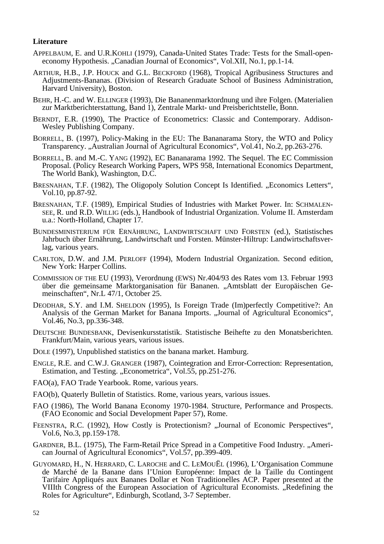#### **Literature**

- APPELBAUM, E. and U.R.KOHLI (1979), Canada-United States Trade: Tests for the Small-openeconomy Hypothesis. "Canadian Journal of Economics", Vol.XII, No.1, pp.1-14.
- ARTHUR, H.B., J.P. HOUCK and G.L. BECKFORD (1968), Tropical Agribusiness Structures and Adjustments-Bananas. (Division of Research Graduate School of Business Administration, Harvard University), Boston.
- BEHR, H.-C. and W. ELLINGER (1993), Die Bananenmarktordnung und ihre Folgen. (Materialien zur Marktberichterstattung, Band 1), Zentrale Markt- und Preisberichtstelle, Bonn.
- BERNDT, E.R. (1990), The Practice of Econometrics: Classic and Contemporary. Addison-Wesley Publishing Company.
- BORRELL, B. (1997), Policy-Making in the EU: The Bananarama Story, the WTO and Policy Transparency. "Australian Journal of Agricultural Economics", Vol.41, No.2, pp.263-276.
- BORRELL, B. and M.-C. YANG (1992), EC Bananarama 1992. The Sequel. The EC Commission Proposal. (Policy Research Working Papers, WPS 958, International Economics Department, The World Bank), Washington, D.C.
- BRESNAHAN, T.F. (1982), The Oligopoly Solution Concept Is Identified. "Economics Letters", Vol.10, pp.87-92.
- BRESNAHAN, T.F. (1989), Empirical Studies of Industries with Market Power. In: SCHMALEN-<br>SEE, R. und R.D. WILLIG (eds.), Handbook of Industrial Organization. Volume II. Amsterdam u.a.: North-Holland, Chapter 17.
- BUNDESMINISTERIUM FÜR ERNÄHRUNG, LANDWIRTSCHAFT UND FORSTEN (ed.), Statistisches Jahrbuch über Ernährung, Landwirtschaft und Forsten. Münster-Hiltrup: Landwirtschaftsverlag, various years.
- CARLTON, D.W. and J.M. PERLOFF (1994), Modern Industrial Organization. Second edition, New York: Harper Collins.
- COMMISSION OF THE EU (1993), Verordnung (EWS) Nr.404/93 des Rates vom 13. Februar 1993 über die gemeinsame Marktorganisation für Bananen. "Amtsblatt der Europäischen Gemeinschaften", Nr.L 47/1, October 25.
- DEODHAR, S.Y. and I.M. SHELDON (1995), Is Foreign Trade (Im)perfectly Competitive?: An Analysis of the German Market for Banana Imports. "Journal of Agricultural Economics", Vol.46, No.3, pp.336-348.
- DEUTSCHE BUNDESBANK, Devisenkursstatistik. Statistische Beihefte zu den Monatsberichten. Frankfurt/Main, various years, various issues.
- DOLE (1997), Unpublished statistics on the banana market. Hamburg.
- ENGLE, R.E. and C.W.J. GRANGER (1987), Cointegration and Error-Correction: Representation, Estimation, and Testing. "Econometrica", Vol.55, pp.251-276.
- FAO(a), FAO Trade Yearbook. Rome, various years.
- FAO(b), Quaterly Bulletin of Statistics. Rome, various years, various issues.
- FAO (1986), The World Banana Economy 1970-1984. Structure, Performance and Prospects. (FAO Economic and Social Development Paper 57), Rome.
- FEENSTRA, R.C. (1992), How Costly is Protectionism? "Journal of Economic Perspectives", Vol.6, No.3, pp.159-178.
- GARDNER, B.L. (1975), The Farm-Retail Price Spread in a Competitive Food Industry. "American Journal of Agricultural Economics", Vol.57, pp.399-409.
- GUYOMARD, H., N. HERRARD, C. LAROCHE and C. LEMOUËL (1996), L'Organisation Commune de Marché de la Banane dans I'Union Européenne: Impact de la Taille du Contingent Tarifaire Appliqués aux Bananes Dollar et Non Traditionelles ACP. Paper presented at the VIIIth Congress of the European Association of Agricultural Economists. "Redefining the Roles for Agriculture", Edinburgh, Scotland, 3-7 September.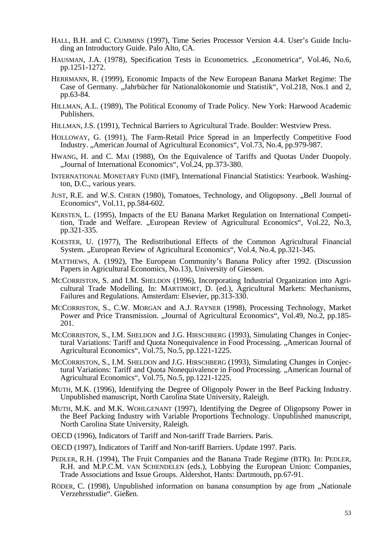- HALL, B.H. and C. CUMMINS (1997), Time Series Processor Version 4.4. User's Guide Including an Introductory Guide. Palo Alto, CA.
- HAUSMAN, J.A. (1978), Specification Tests in Econometrics. "Econometrica", Vol.46, No.6, pp.1251-1272.
- HERRMANN, R. (1999), Economic Impacts of the New European Banana Market Regime: The Case of Germany. "Jahrbücher für Nationalökonomie und Statistik", Vol.218, Nos.1 and 2, pp.63-84.
- HILLMAN, A.L. (1989), The Political Economy of Trade Policy. New York: Harwood Academic Publishers.
- HILLMAN, J.S. (1991), Technical Barriers to Agricultural Trade. Boulder: Westview Press.
- HOLLOWAY, G. (1991), The Farm-Retail Price Spread in an Imperfectly Competitive Food Industry. "American Journal of Agricultural Economics", Vol.73, No.4, pp.979-987.
- HWANG, H. and C. MAI (1988), On the Equivalence of Tariffs and Quotas Under Duopoly. "Journal of International Economics", Vol.24, pp.373-380.
- INTERNATIONAL MONETARY FUND (IMF), International Financial Statistics: Yearbook. Washington, D.C., various years.
- JUST, R.E. and W.S. CHERN (1980), Tomatoes, Technology, and Oligopsony. "Bell Journal of Economics", Vol.11, pp.584-602.
- KERSTEN, L. (1995), Impacts of the EU Banana Market Regulation on International Competition, Trade and Welfare. "European Review of Agricultural Economics", Vol.22, No.3, pp.321-335.
- KOESTER, U. (1977), The Redistributional Effects of the Common Agricultural Financial System. "European Review of Agricultural Economics", Vol.4, No.4, pp.321-345.
- MATTHEWS, A. (1992), The European Community's Banana Policy after 1992. (Discussion Papers in Agricultural Economics, No.13), University of Giessen.
- MCCORRISTON, S. and I.M. SHELDON (1996), Incorporating Industrial Organization into Agricultural Trade Modelling. In: MARTIMORT, D. (ed.), Agricultural Markets: Mechanisms, Failures and Regulations. Amsterdam: Elsevier, pp.313-330.
- MCCORRISTON, S., C.W. MORGAN and A.J. RAYNER (1998), Processing Technology, Market Power and Price Transmission. "Journal of Agricultural Economics", Vol.49, No.2, pp.185-201.
- MCCORRISTON, S., I.M. SHELDON and J.G. HIRSCHBERG (1993), Simulating Changes in Conjectural Variations: Tariff and Quota Nonequivalence in Food Processing. "American Journal of Agricultural Economics", Vol.75, No.5, pp.1221-1225.
- MCCORRISTON, S., I.M. SHELDON and J.G. HIRSCHBERG (1993), Simulating Changes in Conjectural Variations: Tariff and Quota Nonequivalence in Food Processing. "American Journal of Agricultural Economics", Vol.75, No.5, pp.1221-1225.
- MUTH, M.K. (1996), Identifying the Degree of Oligopoly Power in the Beef Packing Industry. Unpublished manuscript, North Carolina State University, Raleigh.
- MUTH, M.K. and M.K. WOHLGENANT (1997), Identifying the Degree of Oligopsony Power in the Beef Packing Industry with Variable Proportions Technology. Unpublished manuscript, North Carolina State University, Raleigh.
- OECD (1996), Indicators of Tariff and Non-tariff Trade Barriers. Paris.
- OECD (1997), Indicators of Tariff and Non-tariff Barriers. Update 1997. Paris.
- PEDLER, R.H. (1994), The Fruit Companies and the Banana Trade Regime (BTR). In: PEDLER, R.H. and M.P.C.M. VAN SCHENDELEN (eds.), Lobbying the European Union: Companies, Trade Associations and Issue Groups. Aldershot, Hants: Dartmouth, pp.67-91.
- RÖDER, C. (1998), Unpublished information on banana consumption by age from "Nationale Verzehrsstudie". Gießen.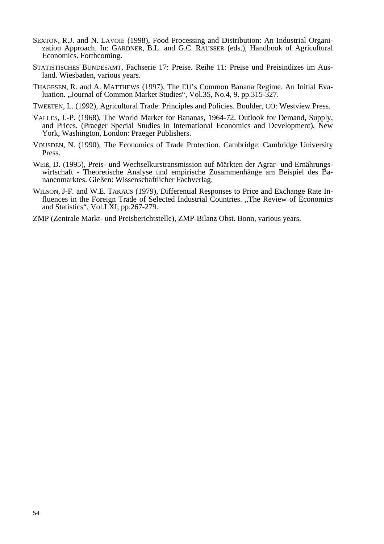- SEXTON, R.J. and N. LAVOIE (1998), Food Processing and Distribution: An Industrial Organization Approach. In: GARDNER, B.L. and G.C. RAUSSER (eds.), Handbook of Agricultural Economics. Forthcoming.
- STATISTISCHES BUNDESAMT, Fachserie 17: Preise. Reihe 11: Preise und Preisindizes im Ausland. Wiesbaden, various years.
- THAGESEN, R. and A. MATTHEWS (1997), The EU's Common Banana Regime. An Initial Evaluation. "Journal of Common Market Studies", Vol.35, No.4, 9. pp.315-327.
- TWEETEN, L. (1992), Agricultural Trade: Principles and Policies. Boulder, CO: Westview Press.
- VALLES, J.-P. (1968), The World Market for Bananas, 1964-72. Outlook for Demand, Supply, and Prices. (Praeger Special Studies in International Economics and Development), New York, Washington, London: Praeger Publishers.
- VOUSDEN, N. (1990), The Economics of Trade Protection. Cambridge: Cambridge University Press.
- WEIß, D. (1995), Preis- und Wechselkurstransmission auf Märkten der Agrar- und Ernährungswirtschaft - Theoretische Analyse und empirische Zusammenhänge am Beispiel des Bananenmarktes. Gießen: Wissenschaftlicher Fachverlag.
- WILSON, J-F. and W.E. TAKACS (1979), Differential Responses to Price and Exchange Rate Influences in the Foreign Trade of Selected Industrial Countries. "The Review of Economics and Statistics", Vol.LXI, pp.267-279.
- ZMP (Zentrale Markt- und Preisberichtstelle), ZMP-Bilanz Obst. Bonn, various years.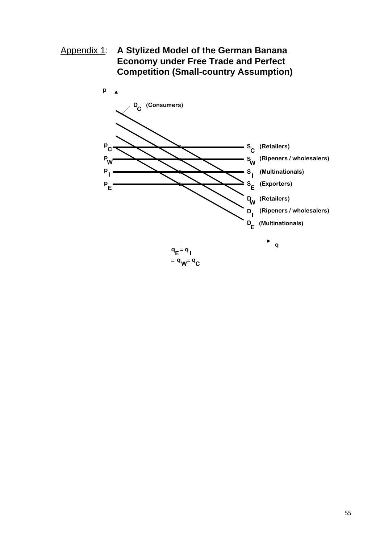Appendix 1: A Stylized Model of the German Banana **Economy under Free Trade and Perfect Competition (Small-country Assumption)**

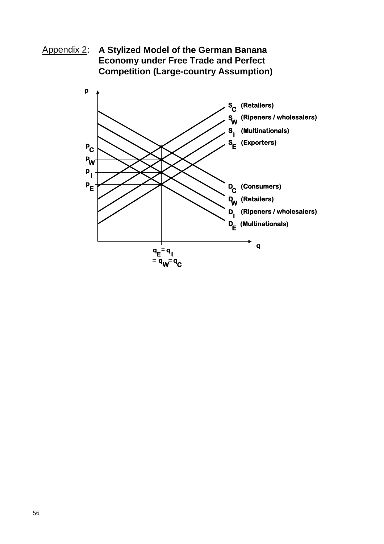Appendix 2: A Stylized Model of the German Banana **Economy under Free Trade and Perfect Competition (Large-country Assumption)**

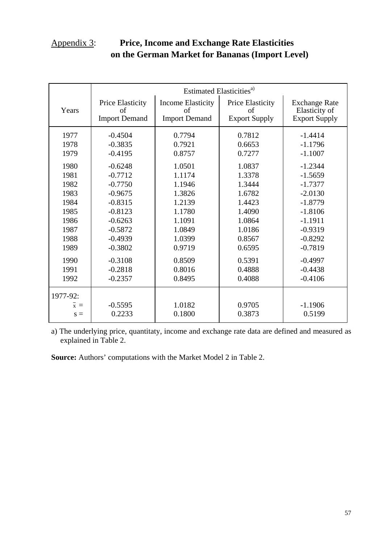## Appendix 3: **Price, Income and Exchange Rate Elasticities on the German Market for Bananas (Import Level)**

|          | Estimated Elasticities <sup>a)</sup>           |                                                        |                                                       |                                                               |
|----------|------------------------------------------------|--------------------------------------------------------|-------------------------------------------------------|---------------------------------------------------------------|
| Years    | Price Elasticity<br>οf<br><b>Import Demand</b> | <b>Income Elasticity</b><br>οf<br><b>Import Demand</b> | <b>Price Elasticity</b><br>of<br><b>Export Supply</b> | <b>Exchange Rate</b><br>Elasticity of<br><b>Export Supply</b> |
| 1977     | $-0.4504$                                      | 0.7794                                                 | 0.7812                                                | $-1.4414$                                                     |
| 1978     | $-0.3835$                                      | 0.7921                                                 | 0.6653                                                | $-1.1796$                                                     |
| 1979     | $-0.4195$                                      | 0.8757                                                 | 0.7277                                                | $-1.1007$                                                     |
| 1980     | $-0.6248$                                      | 1.0501                                                 | 1.0837                                                | $-1.2344$                                                     |
| 1981     | $-0.7712$                                      | 1.1174                                                 | 1.3378                                                | $-1.5659$                                                     |
| 1982     | $-0.7750$                                      | 1.1946                                                 | 1.3444                                                | $-1.7377$                                                     |
| 1983     | $-0.9675$                                      | 1.3826                                                 | 1.6782                                                | $-2.0130$                                                     |
| 1984     | $-0.8315$                                      | 1.2139                                                 | 1.4423                                                | $-1.8779$                                                     |
| 1985     | $-0.8123$                                      | 1.1780                                                 | 1.4090                                                | $-1.8106$                                                     |
| 1986     | $-0.6263$                                      | 1.1091                                                 | 1.0864                                                | $-1.1911$                                                     |
| 1987     | $-0.5872$                                      | 1.0849                                                 | 1.0186                                                | $-0.9319$                                                     |
| 1988     | $-0.4939$                                      | 1.0399                                                 | 0.8567                                                | $-0.8292$                                                     |
| 1989     | $-0.3802$                                      | 0.9719                                                 | 0.6595                                                | $-0.7819$                                                     |
| 1990     | $-0.3108$                                      | 0.8509                                                 | 0.5391                                                | $-0.4997$                                                     |
| 1991     | $-0.2818$                                      | 0.8016                                                 | 0.4888                                                | $-0.4438$                                                     |
| 1992     | $-0.2357$                                      | 0.8495                                                 | 0.4088                                                | $-0.4106$                                                     |
| 1977-92: |                                                |                                                        |                                                       |                                                               |
| $x =$    | $-0.5595$                                      | 1.0182                                                 | 0.9705                                                | $-1.1906$                                                     |
| $s =$    | 0.2233                                         | 0.1800                                                 | 0.3873                                                | 0.5199                                                        |

a) The underlying price, quantitaty, income and exchange rate data are defined and measured as explained in Table 2.

**Source:** Authors' computations with the Market Model 2 in Table 2.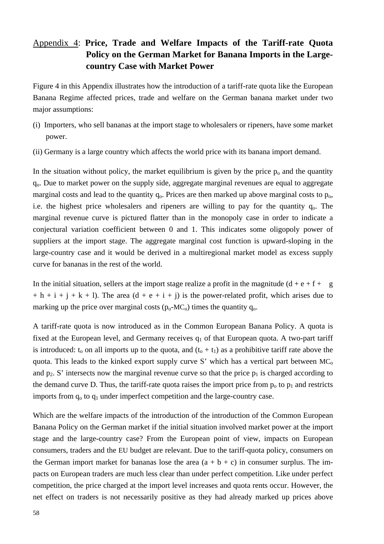## Appendix 4: **Price, Trade and Welfare Impacts of the Tariff-rate Quota Policy on the German Market for Banana Imports in the Largecountry Case with Market Power**

Figure 4 in this Appendix illustrates how the introduction of a tariff-rate quota like the European Banana Regime affected prices, trade and welfare on the German banana market under two major assumptions:

- (i) Importers, who sell bananas at the import stage to wholesalers or ripeners, have some market power.
- (ii) Germany is a large country which affects the world price with its banana import demand.

In the situation without policy, the market equilibrium is given by the price  $p_0$  and the quantity qo. Due to market power on the supply side, aggregate marginal revenues are equal to aggregate marginal costs and lead to the quantity  $q_0$ . Prices are then marked up above marginal costs to  $p_0$ , i.e. the highest price wholesalers and ripeners are willing to pay for the quantity  $q_0$ . The marginal revenue curve is pictured flatter than in the monopoly case in order to indicate a conjectural variation coefficient between 0 and 1. This indicates some oligopoly power of suppliers at the import stage. The aggregate marginal cost function is upward-sloping in the large-country case and it would be derived in a multiregional market model as excess supply curve for bananas in the rest of the world.

In the initial situation, sellers at the import stage realize a profit in the magnitude  $(d + e + f + g)$  $+ h + i + j + k + 1$ ). The area  $(d + e + i + j)$  is the power-related profit, which arises due to marking up the price over marginal costs  $(p_0-MC_0)$  times the quantity  $q_0$ .

A tariff-rate quota is now introduced as in the Common European Banana Policy. A quota is fixed at the European level, and Germany receives  $q_1$  of that European quota. A two-part tariff is introduced:  $t_0$  on all imports up to the quota, and  $(t_0 + t_1)$  as a prohibitive tariff rate above the quota. This leads to the kinked export supply curve S' which has a vertical part between  $MC<sub>o</sub>$ and  $p_2$ . S' intersects now the marginal revenue curve so that the price  $p_1$  is charged according to the demand curve D. Thus, the tariff-rate quota raises the import price from  $p_0$  to  $p_1$  and restricts imports from  $q_0$  to  $q_1$  under imperfect competition and the large-country case.

Which are the welfare impacts of the introduction of the introduction of the Common European Banana Policy on the German market if the initial situation involved market power at the import stage and the large-country case? From the European point of view, impacts on European consumers, traders and the EU budget are relevant. Due to the tariff-quota policy, consumers on the German import market for bananas lose the area  $(a + b + c)$  in consumer surplus. The impacts on European traders are much less clear than under perfect competition. Like under perfect competition, the price charged at the import level increases and quota rents occur. However, the net effect on traders is not necessarily positive as they had already marked up prices above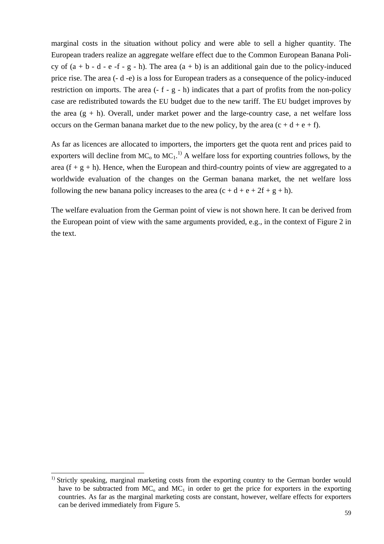marginal costs in the situation without policy and were able to sell a higher quantity. The European traders realize an aggregate welfare effect due to the Common European Banana Policy of  $(a + b - d - e - f - g - h)$ . The area  $(a + b)$  is an additional gain due to the policy-induced price rise. The area (- d -e) is a loss for European traders as a consequence of the policy-induced restriction on imports. The area  $(-f - g - h)$  indicates that a part of profits from the non-policy case are redistributed towards the EU budget due to the new tariff. The EU budget improves by the area  $(g + h)$ . Overall, under market power and the large-country case, a net welfare loss occurs on the German banana market due to the new policy, by the area  $(c + d + e + f)$ .

As far as licences are allocated to importers, the importers get the quota rent and prices paid to exporters will decline from MC<sub>o</sub> to MC<sub>1</sub>.<sup>1)</sup> A welfare loss for exporting countries follows, by the area  $(f + g + h)$ . Hence, when the European and third-country points of view are aggregated to a worldwide evaluation of the changes on the German banana market, the net welfare loss following the new banana policy increases to the area  $(c + d + e + 2f + g + h)$ .

The welfare evaluation from the German point of view is not shown here. It can be derived from the European point of view with the same arguments provided, e.g., in the context of Figure 2 in the text.

l

<sup>&</sup>lt;sup>1)</sup> Strictly speaking, marginal marketing costs from the exporting country to the German border would have to be subtracted from  $MC_0$  and  $MC_1$  in order to get the price for exporters in the exporting countries. As far as the marginal marketing costs are constant, however, welfare effects for exporters can be derived immediately from Figure 5.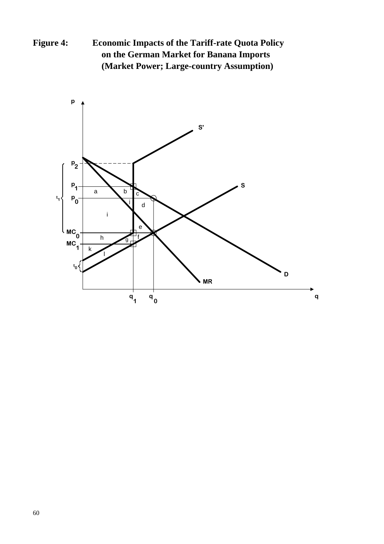**Figure 4: Economic Impacts of the Tariff-rate Quota Policy on the German Market for Banana Imports (Market Power; Large-country Assumption)** 

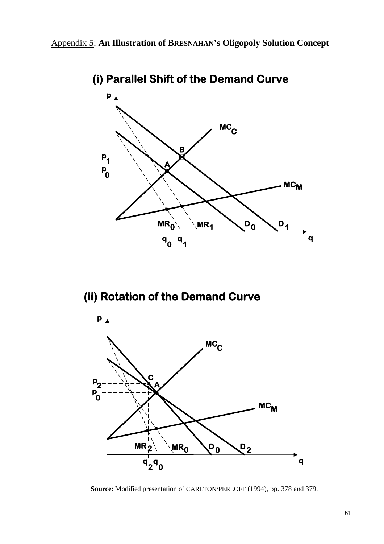

**(i) Parallel Shift of the Demand Curve**

# **(ii) Rotation of the Demand Curve**



**Source:** Modified presentation of CARLTON/PERLOFF (1994), pp. 378 and 379.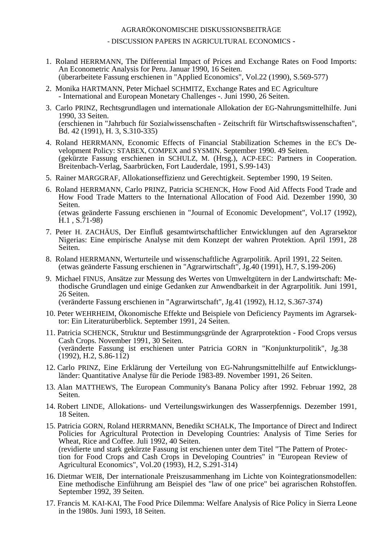#### AGRARÖKONOMISCHE DISKUSSIONSBEITRÄGE

- DISCUSSION PAPERS IN AGRICULTURAL ECONOMICS -

- 1. Roland HERRMANN, The Differential Impact of Prices and Exchange Rates on Food Imports: An Econometric Analysis for Peru. Januar 1990, 16 Seiten. (überarbeitete Fassung erschienen in "Applied Economics", Vol.22 (1990), S.569-577)
- 2. Monika HARTMANN, Peter Michael SCHMITZ, Exchange Rates and EC Agriculture - International and European Monetary Challenges -. Juni 1990, 26 Seiten.
- 3. Carlo PRINZ, Rechtsgrundlagen und internationale Allokation der EG-Nahrungsmittelhilfe. Juni 1990, 33 Seiten. (erschienen in "Jahrbuch für Sozialwissenschaften - Zeitschrift für Wirtschaftswissenschaften", Bd. 42 (1991), H. 3, S.310-335)
- 4. Roland HERRMANN, Economic Effects of Financial Stabilization Schemes in the EC's Development Policy: STABEX, COMPEX and SYSMIN. September 1990. 49 Seiten. (gekürzte Fassung erschienen in SCHULZ, M. (Hrsg.), ACP-EEC: Partners in Cooperation. Breitenbach-Verlag, Saarbrücken, Fort Lauderdale, 1991, S.99-143)
- 5. Rainer MARGGRAF, Allokationseffizienz und Gerechtigkeit. September 1990, 19 Seiten.
- 6. Roland HERRMANN, Carlo PRINZ, Patricia SCHENCK, How Food Aid Affects Food Trade and How Food Trade Matters to the International Allocation of Food Aid. Dezember 1990, 30 Seiten. (etwas geänderte Fassung erschienen in "Journal of Economic Development", Vol.17 (1992), H.1 , S.71-98)
- 7. Peter H. ZACHÄUS, Der Einfluß gesamtwirtschaftlicher Entwicklungen auf den Agrarsektor Nigerias: Eine empirische Analyse mit dem Konzept der wahren Protektion. April 1991, 28 Seiten.
- 8. Roland HERRMANN, Werturteile und wissenschaftliche Agrarpolitik. April 1991, 22 Seiten. (etwas geänderte Fassung erschienen in "Agrarwirtschaft", Jg.40 (1991), H.7, S.199-206)
- 9. Michael FINUS, Ansätze zur Messung des Wertes von Umweltgütern in der Landwirtschaft: Methodische Grundlagen und einige Gedanken zur Anwendbarkeit in der Agrarpolitik. Juni 1991, 26 Seiten. (veränderte Fassung erschienen in "Agrarwirtschaft", Jg.41 (1992), H.12, S.367-374)

- 10. Peter WEHRHEIM, Ökonomische Effekte und Beispiele von Deficiency Payments im Agrarsektor: Ein Literaturüberblick. September 1991, 24 Seiten.
- 11. Patricia SCHENCK, Struktur und Bestimmungsgründe der Agrarprotektion Food Crops versus Cash Crops. November 1991, 30 Seiten. (veränderte Fassung ist erschienen unter Patricia GORN in "Konjunkturpolitik", Jg.38  $(1992)$ , H.2, S.86-112)
- 12. Carlo PRINZ, Eine Erklärung der Verteilung von EG-Nahrungsmittelhilfe auf Entwicklungsländer: Quantitative Analyse für die Periode 1983-89. November 1991, 26 Seiten.
- 13. Alan MATTHEWS, The European Community's Banana Policy after 1992. Februar 1992, 28 Seiten.
- 14. Robert LINDE, Allokations- und Verteilungswirkungen des Wasserpfennigs. Dezember 1991, 18 Seiten.
- 15. Patricia GORN, Roland HERRMANN, Benedikt SCHALK, The Importance of Direct and Indirect Policies for Agricultural Protection in Developing Countries: Analysis of Time Series for Wheat, Rice and Coffee. Juli 1992, 40 Seiten. (revidierte und stark gekürzte Fassung ist erschienen unter dem Titel "The Pattern of Protection for Food Crops and Cash Crops in Developing Countries" in "European Review of Agricultural Economics", Vol.20 (1993), H.2, S.291-314)
- 16. Dietmar WEIß, Der internationale Preiszusammenhang im Lichte von Kointegrationsmodellen: Eine methodische Einführung am Beispiel des "law of one price" bei agrarischen Rohstoffen. September 1992, 39 Seiten.
- 17. Francis M. KAI-KAI, The Food Price Dilemma: Welfare Analysis of Rice Policy in Sierra Leone in the 1980s. Juni 1993, 18 Seiten.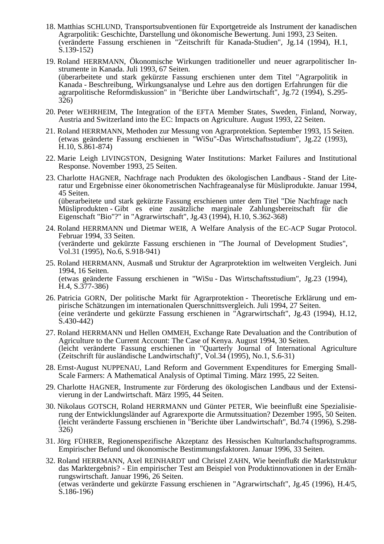- 18. Matthias SCHLUND, Transportsubventionen für Exportgetreide als Instrument der kanadischen Agrarpolitik: Geschichte, Darstellung und ökonomische Bewertung. Juni 1993, 23 Seiten. (veränderte Fassung erschienen in "Zeitschrift für Kanada-Studien", Jg.14 (1994), H.1, S.139-152)
- 19. Roland HERRMANN, Ökonomische Wirkungen traditioneller und neuer agrarpolitischer Instrumente in Kanada. Juli 1993, 67 Seiten. (überarbeitete und stark gekürzte Fassung erschienen unter dem Titel "Agrarpolitik in Kanada - Beschreibung, Wirkungsanalyse und Lehre aus den dortigen Erfahrungen für die agrarpolitische Reformdiskussion" in "Berichte über Landwirtschaft", Jg.72 (1994), S.295- 326)
- 20. Peter WEHRHEIM, The Integration of the EFTA Member States, Sweden, Finland, Norway, Austria and Switzerland into the EC: Impacts on Agriculture. August 1993, 22 Seiten.
- 21. Roland HERRMANN, Methoden zur Messung von Agrarprotektion. September 1993, 15 Seiten. (etwas geänderte Fassung erschienen in "WiSu"-Das Wirtschaftsstudium", Jg.22 (1993), H.10, S.861-874)
- 22. Marie Leigh LIVINGSTON, Designing Water Institutions: Market Failures and Institutional Response. November 1993, 25 Seiten.
- 23. Charlotte HAGNER, Nachfrage nach Produkten des ökologischen Landbaus Stand der Literatur und Ergebnisse einer ökonometrischen Nachfrageanalyse für Müsliprodukte. Januar 1994, 45 Seiten. (überarbeitete und stark gekürzte Fassung erschienen unter dem Titel "Die Nachfrage nach Müsliprodukten - Gibt es eine zusätzliche marginale Zahlungsbereitschaft für die Eigenschaft "Bio"?" in "Agrarwirtschaft", Jg.43 (1994), H.10, S.362-368)
- 24. Roland HERRMANN und Dietmar WEIß, A Welfare Analysis of the EC-ACP Sugar Protocol. Februar 1994, 33 Seiten. (veränderte und gekürzte Fassung erschienen in "The Journal of Development Studies", Vol.31 (1995), No.6, S.918-941)
- 25. Roland HERRMANN, Ausmaß und Struktur der Agrarprotektion im weltweiten Vergleich. Juni 1994, 16 Seiten. (etwas geänderte Fassung erschienen in "WiSu - Das Wirtschaftsstudium", Jg.23 (1994), H.4, S.377-386)
- 26. Patricia GORN, Der politische Markt für Agrarprotektion Theoretische Erklärung und empirische Schätzungen im internationalen Querschnittsvergleich. Juli 1994, 27 Seiten. (eine veränderte und gekürzte Fassung erschienen in "Agrarwirtschaft", Jg.43 (1994), H.12, S.430-442)
- 27. Roland HERRMANN und Hellen OMMEH, Exchange Rate Devaluation and the Contribution of Agriculture to the Current Account: The Case of Kenya. August 1994, 30 Seiten. (leicht veränderte Fassung erschienen in "Quarterly Journal of International Agriculture (Zeitschrift für ausländische Landwirtschaft)", Vol.34 (1995), No.1, S.6-31)
- 28. Ernst-August NUPPENAU, Land Reform and Government Expenditures for Emerging Small-Scale Farmers: A Mathematical Analysis of Optimal Timing. März 1995, 22 Seiten.
- 29. Charlotte HAGNER, Instrumente zur Förderung des ökologischen Landbaus und der Extensivierung in der Landwirtschaft. März 1995, 44 Seiten.
- 30. Nikolaus GOTSCH, Roland HERRMANN und Günter PETER, Wie beeinflußt eine Spezialisierung der Entwicklungsländer auf Agrarexporte die Armutssituation? Dezember 1995, 50 Seiten. (leicht veränderte Fassung erschienen in "Berichte über Landwirtschaft", Bd.74 (1996), S.298- 326)
- 31. Jörg FÜHRER, Regionenspezifische Akzeptanz des Hessischen Kulturlandschaftsprogramms. Empirischer Befund und ökonomische Bestimmungsfaktoren. Januar 1996, 33 Seiten.
- 32. Roland HERRMANN, Axel REINHARDT und Christel ZAHN, Wie beeinflußt die Marktstruktur das Marktergebnis? - Ein empirischer Test am Beispiel von Produktinnovationen in der Ernährungswirtschaft. Januar 1996, 26 Seiten. (etwas veränderte und gekürzte Fassung erschienen in "Agrarwirtschaft", Jg.45 (1996), H.4/5, S.186-196)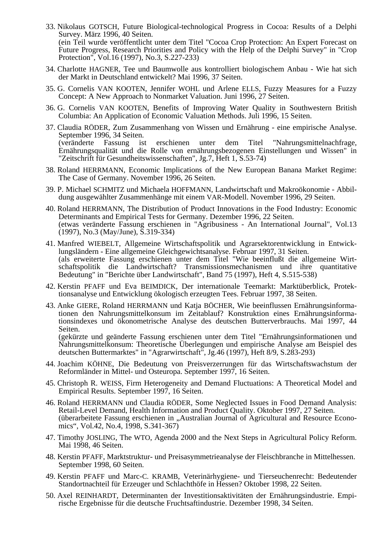- 33. Nikolaus GOTSCH, Future Biological-technological Progress in Cocoa: Results of a Delphi Survey. März 1996, 40 Seiten. (ein Teil wurde veröffentlicht unter dem Titel "Cocoa Crop Protection: An Expert Forecast on Future Progress, Research Priorities and Policy with the Help of the Delphi Survey" in "Crop Protection", Vol.16 (1997), No.3, S.227-233)
- 34. Charlotte HAGNER, Tee und Baumwolle aus kontrolliert biologischem Anbau Wie hat sich der Markt in Deutschland entwickelt? Mai 1996, 37 Seiten.
- 35. G. Cornelis VAN KOOTEN, Jennifer WOHL und Arlene ELLS, Fuzzy Measures for a Fuzzy Concept: A New Approach to Nonmarket Valuation. Juni 1996, 27 Seiten.
- 36. G. Cornelis VAN KOOTEN, Benefits of Improving Water Quality in Southwestern British Columbia: An Application of Economic Valuation Methods. Juli 1996, 15 Seiten.
- 37. Claudia RÖDER, Zum Zusammenhang von Wissen und Ernährung eine empirische Analyse. September 1996, 34 Seiten. (veränderte Fassung ist erschienen unter dem Titel "Nahrungsmittelnachfrage, Ernährungsqualität und die Rolle von ernährungsbezogenen Einstellungen und Wissen" in "Zeitschrift für Gesundheitswissenschaften", Jg.7, Heft 1, S.53-74)
- 38. Roland HERRMANN, Economic Implications of the New European Banana Market Regime: The Case of Germany. November 1996, 26 Seiten.
- 39. P. Michael SCHMITZ und Michaela HOFFMANN, Landwirtschaft und Makroökonomie Abbildung ausgewählter Zusammenhänge mit einem VAR-Modell. November 1996, 29 Seiten.
- 40. Roland HERRMANN, The Distribution of Product Innovations in the Food Industry: Economic Determinants and Empirical Tests for Germany. Dezember 1996, 22 Seiten. (etwas veränderte Fassung erschienen in "Agribusiness - An International Journal", Vol.13 (1997), No.3 (May/June), S.319-334)
- 41. Manfred WIEBELT, Allgemeine Wirtschaftspolitik und Agrarsektorentwicklung in Entwicklungsländern - Eine allgemeine Gleichgewichtsanalyse. Februar 1997, 31 Seiten. (als erweiterte Fassung erschienen unter dem Titel "Wie beeinflußt die allgemeine Wirtschaftspolitik die Landwirtschaft? Transmissionsmechanismen und ihre quantitative Bedeutung" in "Berichte über Landwirtschaft", Band 75 (1997), Heft 4, S.515-538)
- 42. Kerstin PFAFF und Eva BEIMDICK, Der internationale Teemarkt: Marktüberblick, Protektionsanalyse und Entwicklung ökologisch erzeugten Tees. Februar 1997, 38 Seiten.
- 43. Anke GIERE, Roland HERRMANN und Katja BÖCHER, Wie beeinflussen Ernährungsinformationen den Nahrungsmittelkonsum im Zeitablauf? Konstruktion eines Ernährungsinformationsindexes und ökonometrische Analyse des deutschen Butterverbrauchs. Mai 1997, 44 Seiten.<br>(gekürzte und geänderte Fassung erschienen unter dem Titel "Ernährungsinformationen und

Nahrungsmittelkonsum: Theoretische Überlegungen und empirische Analyse am Beispiel des deutschen Buttermarktes" in "Agrarwirtschaft", Jg.46 (1997), Heft 8/9, S.283-293)

- 44. Joachim KÖHNE, Die Bedeutung von Preisverzerrungen für das Wirtschaftswachstum der Reformländer in Mittel- und Osteuropa. September 1997, 16 Seiten.
- 45. Christoph R. WEISS, Firm Heterogeneity and Demand Fluctuations: A Theoretical Model and Empirical Results. September 1997, 16 Seiten.
- 46. Roland HERRMANN und Claudia RÖDER, Some Neglected Issues in Food Demand Analysis: Retail-Level Demand, Health Information and Product Quality. Oktober 1997, 27 Seiten. (überarbeitete Fassung erschienen in "Australian Journal of Agricultural and Resource Economics", Vol.42, No.4, 1998, S.341-367)
- 47. Timothy JOSLING, The WTO, Agenda 2000 and the Next Steps in Agricultural Policy Reform. Mai 1998, 46 Seiten.
- 48. Kerstin PFAFF, Marktstruktur- und Preisasymmetrieanalyse der Fleischbranche in Mittelhessen. September 1998, 60 Seiten.
- 49. Kerstin PFAFF und Marc-C. KRAMB, Veterinärhygiene- und Tierseuchenrecht: Bedeutender Standortnachteil für Erzeuger und Schlachthöfe in Hessen? Oktober 1998, 22 Seiten.
- 50. Axel REINHARDT, Determinanten der Investitionsaktivitäten der Ernährungsindustrie. Empirische Ergebnisse für die deutsche Fruchtsaftindustrie. Dezember 1998, 34 Seiten.